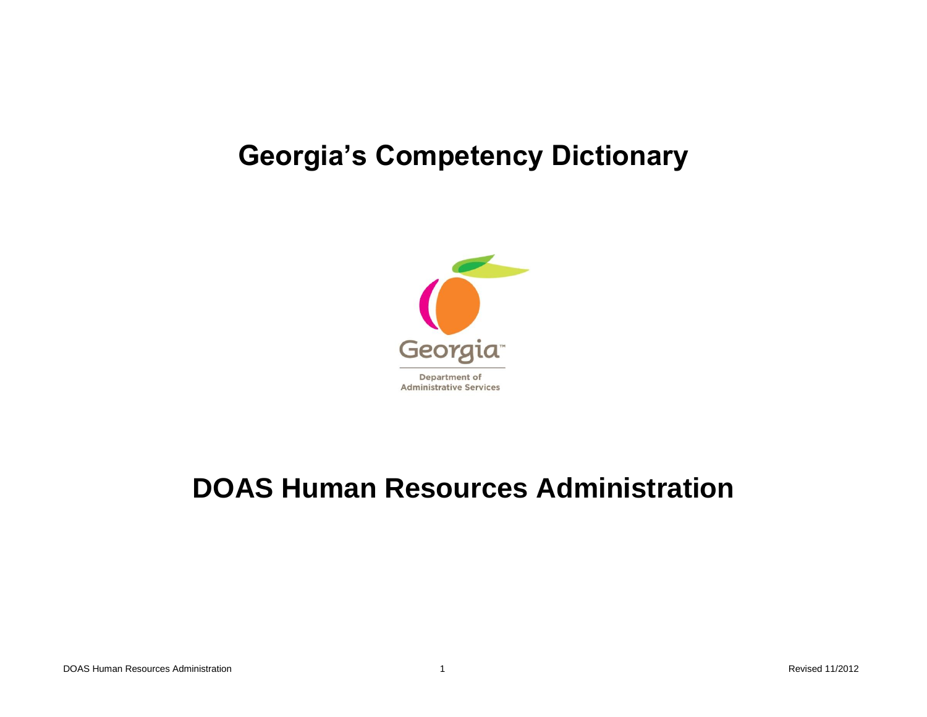## **Georgia's Competency Dictionary**



# **DOAS Human Resources Administration**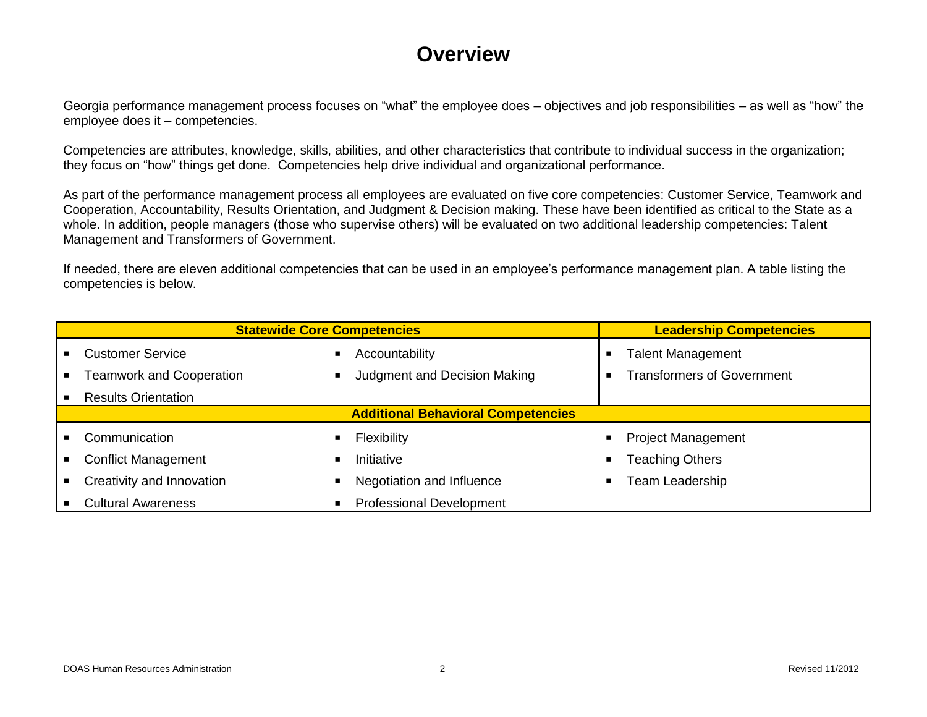#### **Overview**

Georgia performance management process focuses on "what" the employee does – objectives and job responsibilities – as well as "how" the employee does it – competencies.

Competencies are attributes, knowledge, skills, abilities, and other characteristics that contribute to individual success in the organization; they focus on "how" things get done. Competencies help drive individual and organizational performance.

As part of the performance management process all employees are evaluated on five core competencies: Customer Service, Teamwork and Cooperation, Accountability, Results Orientation, and Judgment & Decision making. These have been identified as critical to the State as a whole. In addition, people managers (those who supervise others) will be evaluated on two additional leadership competencies: Talent Management and Transformers of Government.

If needed, there are eleven additional competencies that can be used in an employee's performance management plan. A table listing the competencies is below.

|                | <b>Statewide Core Competencies</b> | <b>Leadership Competencies</b>            |                                          |
|----------------|------------------------------------|-------------------------------------------|------------------------------------------|
|                | <b>Customer Service</b>            | Accountability                            | <b>Talent Management</b>                 |
| $\blacksquare$ | <b>Teamwork and Cooperation</b>    | Judgment and Decision Making              | <b>Transformers of Government</b>        |
|                | <b>Results Orientation</b>         |                                           |                                          |
|                |                                    | <b>Additional Behavioral Competencies</b> |                                          |
|                | Communication                      | Flexibility                               | <b>Project Management</b><br>п           |
| $\blacksquare$ | <b>Conflict Management</b>         | Initiative                                | <b>Teaching Others</b><br>$\blacksquare$ |
| $\blacksquare$ | Creativity and Innovation          | Negotiation and Influence                 | Team Leadership                          |
|                | <b>Cultural Awareness</b>          | <b>Professional Development</b>           |                                          |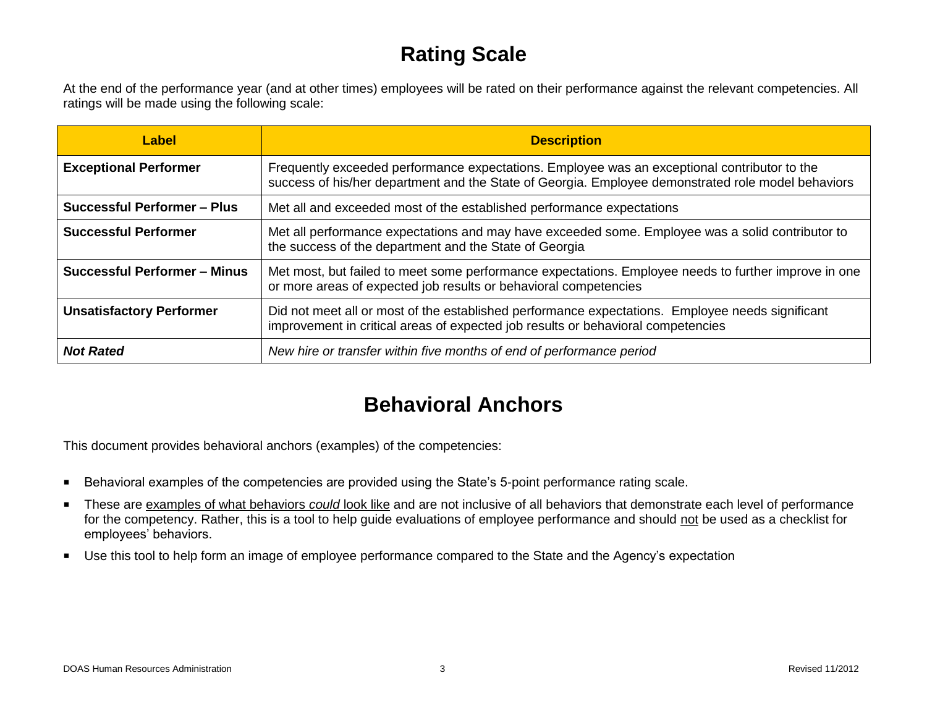#### **Rating Scale**

At the end of the performance year (and at other times) employees will be rated on their performance against the relevant competencies. All ratings will be made using the following scale:

| Label                               | <b>Description</b>                                                                                                                                                                                 |
|-------------------------------------|----------------------------------------------------------------------------------------------------------------------------------------------------------------------------------------------------|
| <b>Exceptional Performer</b>        | Frequently exceeded performance expectations. Employee was an exceptional contributor to the<br>success of his/her department and the State of Georgia. Employee demonstrated role model behaviors |
| <b>Successful Performer - Plus</b>  | Met all and exceeded most of the established performance expectations                                                                                                                              |
| <b>Successful Performer</b>         | Met all performance expectations and may have exceeded some. Employee was a solid contributor to<br>the success of the department and the State of Georgia                                         |
| <b>Successful Performer - Minus</b> | Met most, but failed to meet some performance expectations. Employee needs to further improve in one<br>or more areas of expected job results or behavioral competencies                           |
| <b>Unsatisfactory Performer</b>     | Did not meet all or most of the established performance expectations. Employee needs significant<br>improvement in critical areas of expected job results or behavioral competencies               |
| <b>Not Rated</b>                    | New hire or transfer within five months of end of performance period                                                                                                                               |

## **Behavioral Anchors**

This document provides behavioral anchors (examples) of the competencies:

- Behavioral examples of the competencies are provided using the State's 5-point performance rating scale.
- These are examples of what behaviors *could* look like and are not inclusive of all behaviors that demonstrate each level of performance for the competency. Rather, this is a tool to help guide evaluations of employee performance and should not be used as a checklist for employees' behaviors.
- Use this tool to help form an image of employee performance compared to the State and the Agency's expectation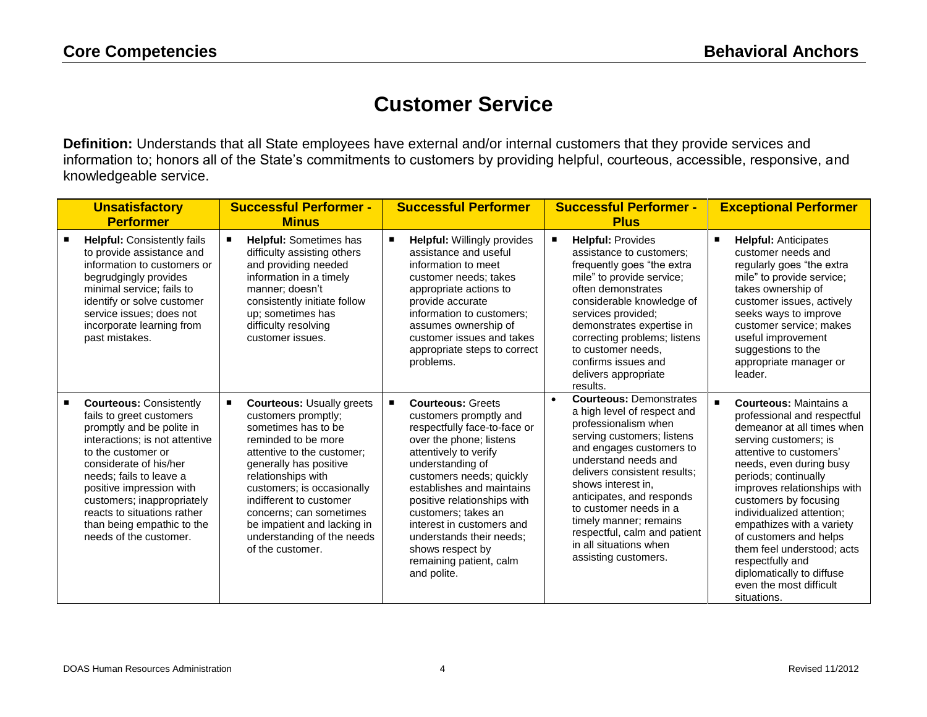#### **Customer Service**

**Definition:** Understands that all State employees have external and/or internal customers that they provide services and information to; honors all of the State's commitments to customers by providing helpful, courteous, accessible, responsive, and knowledgeable service.

| <b>Unsatisfactory</b><br><b>Performer</b>                                                                                                                                                                                                                                                                                                             | <b>Successful Performer -</b><br><b>Minus</b>                                                                                                                                                                                                                                                                                                            | <b>Successful Performer</b>                                                                                                                                                                                                                                                                                                                                                                           | <b>Successful Performer -</b><br><b>Plus</b>                                                                                                                                                                                                                                                                                                                                                                  | <b>Exceptional Performer</b>                                                                                                                                                                                                                                                                                                                                                                                                                                                             |
|-------------------------------------------------------------------------------------------------------------------------------------------------------------------------------------------------------------------------------------------------------------------------------------------------------------------------------------------------------|----------------------------------------------------------------------------------------------------------------------------------------------------------------------------------------------------------------------------------------------------------------------------------------------------------------------------------------------------------|-------------------------------------------------------------------------------------------------------------------------------------------------------------------------------------------------------------------------------------------------------------------------------------------------------------------------------------------------------------------------------------------------------|---------------------------------------------------------------------------------------------------------------------------------------------------------------------------------------------------------------------------------------------------------------------------------------------------------------------------------------------------------------------------------------------------------------|------------------------------------------------------------------------------------------------------------------------------------------------------------------------------------------------------------------------------------------------------------------------------------------------------------------------------------------------------------------------------------------------------------------------------------------------------------------------------------------|
| <b>Helpful: Consistently fails</b><br>to provide assistance and<br>information to customers or<br>begrudgingly provides<br>minimal service; fails to<br>identify or solve customer<br>service issues; does not<br>incorporate learning from<br>past mistakes.                                                                                         | <b>Helpful: Sometimes has</b><br>difficulty assisting others<br>and providing needed<br>information in a timely<br>manner: doesn't<br>consistently initiate follow<br>up; sometimes has<br>difficulty resolving<br>customer issues.                                                                                                                      | <b>Helpful: Willingly provides</b><br>Е<br>assistance and useful<br>information to meet<br>customer needs: takes<br>appropriate actions to<br>provide accurate<br>information to customers:<br>assumes ownership of<br>customer issues and takes<br>appropriate steps to correct<br>problems.                                                                                                         | <b>Helpful: Provides</b><br>п<br>assistance to customers;<br>frequently goes "the extra<br>mile" to provide service;<br>often demonstrates<br>considerable knowledge of<br>services provided;<br>demonstrates expertise in<br>correcting problems; listens<br>to customer needs.<br>confirms issues and<br>delivers appropriate<br>results.                                                                   | ٠<br><b>Helpful: Anticipates</b><br>customer needs and<br>regularly goes "the extra<br>mile" to provide service;<br>takes ownership of<br>customer issues, actively<br>seeks ways to improve<br>customer service; makes<br>useful improvement<br>suggestions to the<br>appropriate manager or<br>leader.                                                                                                                                                                                 |
| <b>Courteous: Consistently</b><br>fails to greet customers<br>promptly and be polite in<br>interactions; is not attentive<br>to the customer or<br>considerate of his/her<br>needs; fails to leave a<br>positive impression with<br>customers; inappropriately<br>reacts to situations rather<br>than being empathic to the<br>needs of the customer. | <b>Courteous: Usually greets</b><br>customers promptly;<br>sometimes has to be<br>reminded to be more<br>attentive to the customer:<br>generally has positive<br>relationships with<br>customers; is occasionally<br>indifferent to customer<br>concerns; can sometimes<br>be impatient and lacking in<br>understanding of the needs<br>of the customer. | <b>Courteous: Greets</b><br>п<br>customers promptly and<br>respectfully face-to-face or<br>over the phone; listens<br>attentively to verify<br>understanding of<br>customers needs; quickly<br>establishes and maintains<br>positive relationships with<br>customers; takes an<br>interest in customers and<br>understands their needs:<br>shows respect by<br>remaining patient, calm<br>and polite. | <b>Courteous: Demonstrates</b><br>$\bullet$<br>a high level of respect and<br>professionalism when<br>serving customers; listens<br>and engages customers to<br>understand needs and<br>delivers consistent results:<br>shows interest in,<br>anticipates, and responds<br>to customer needs in a<br>timely manner; remains<br>respectful, calm and patient<br>in all situations when<br>assisting customers. | $\blacksquare$<br><b>Courteous:</b> Maintains a<br>professional and respectful<br>demeanor at all times when<br>serving customers; is<br>attentive to customers'<br>needs, even during busy<br>periods; continually<br>improves relationships with<br>customers by focusing<br>individualized attention;<br>empathizes with a variety<br>of customers and helps<br>them feel understood; acts<br>respectfully and<br>diplomatically to diffuse<br>even the most difficult<br>situations. |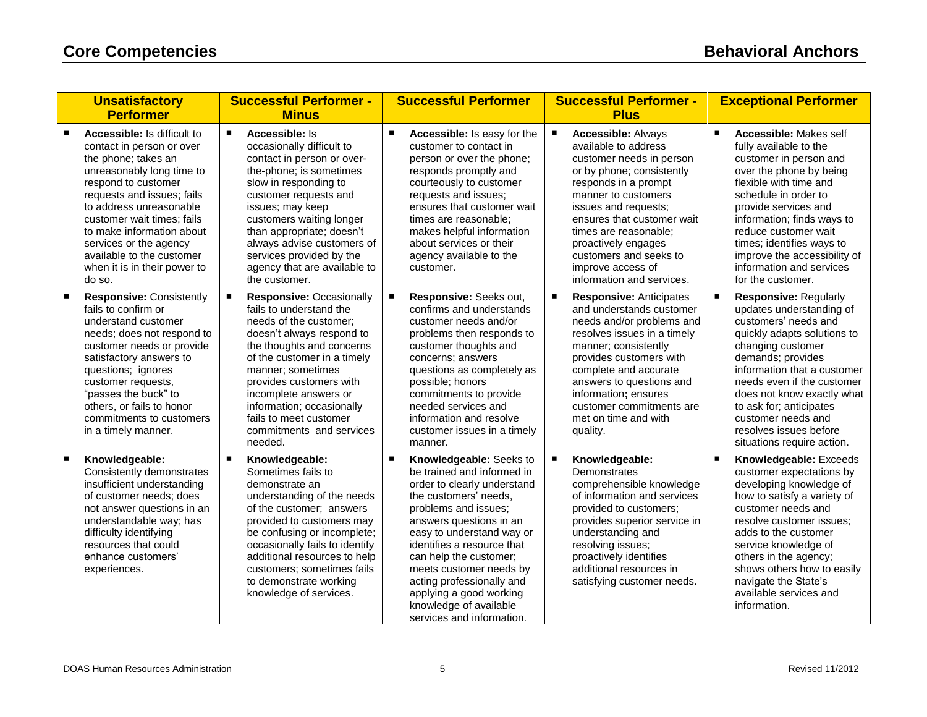|                | <b>Unsatisfactory</b><br><b>Performer</b>                                                                                                                                                                                                                                                                                                                | <b>Successful Performer -</b><br><b>Minus</b>                                                                                                                                                                                                                                                                                                                    | <b>Successful Performer</b>                                                                                                                                                                                                                                                                                                                                                                                       | <b>Successful Performer -</b><br><b>Plus</b>                                                                                                                                                                                                                                                                                                | <b>Exceptional Performer</b>                                                                                                                                                                                                                                                                                                                                                    |
|----------------|----------------------------------------------------------------------------------------------------------------------------------------------------------------------------------------------------------------------------------------------------------------------------------------------------------------------------------------------------------|------------------------------------------------------------------------------------------------------------------------------------------------------------------------------------------------------------------------------------------------------------------------------------------------------------------------------------------------------------------|-------------------------------------------------------------------------------------------------------------------------------------------------------------------------------------------------------------------------------------------------------------------------------------------------------------------------------------------------------------------------------------------------------------------|---------------------------------------------------------------------------------------------------------------------------------------------------------------------------------------------------------------------------------------------------------------------------------------------------------------------------------------------|---------------------------------------------------------------------------------------------------------------------------------------------------------------------------------------------------------------------------------------------------------------------------------------------------------------------------------------------------------------------------------|
|                | Accessible: Is difficult to<br>contact in person or over<br>the phone; takes an<br>unreasonably long time to<br>respond to customer<br>requests and issues; fails<br>to address unreasonable<br>customer wait times; fails<br>to make information about<br>services or the agency<br>available to the customer<br>when it is in their power to<br>do so. | $\blacksquare$<br>Accessible: Is<br>occasionally difficult to<br>contact in person or over-<br>the-phone; is sometimes<br>slow in responding to<br>customer requests and<br>issues; may keep<br>customers waiting longer<br>than appropriate; doesn't<br>always advise customers of<br>services provided by the<br>agency that are available to<br>the customer. | $\blacksquare$<br>Accessible: Is easy for the<br>customer to contact in<br>person or over the phone;<br>responds promptly and<br>courteously to customer<br>requests and issues;<br>ensures that customer wait<br>times are reasonable:<br>makes helpful information<br>about services or their<br>agency available to the<br>customer.                                                                           | <b>Accessible: Always</b><br>available to address<br>customer needs in person<br>or by phone; consistently<br>responds in a prompt<br>manner to customers<br>issues and requests;<br>ensures that customer wait<br>times are reasonable;<br>proactively engages<br>customers and seeks to<br>improve access of<br>information and services. | $\blacksquare$<br>Accessible: Makes self<br>fully available to the<br>customer in person and<br>over the phone by being<br>flexible with time and<br>schedule in order to<br>provide services and<br>information; finds ways to<br>reduce customer wait<br>times; identifies ways to<br>improve the accessibility of<br>information and services<br>for the customer.           |
| ٠              | <b>Responsive: Consistently</b><br>fails to confirm or<br>understand customer<br>needs; does not respond to<br>customer needs or provide<br>satisfactory answers to<br>questions; ignores<br>customer requests,<br>"passes the buck" to<br>others, or fails to honor<br>commitments to customers<br>in a timely manner.                                  | <b>Responsive: Occasionally</b><br>fails to understand the<br>needs of the customer;<br>doesn't always respond to<br>the thoughts and concerns<br>of the customer in a timely<br>manner; sometimes<br>provides customers with<br>incomplete answers or<br>information; occasionally<br>fails to meet customer<br>commitments and services<br>needed.             | Responsive: Seeks out,<br>confirms and understands<br>customer needs and/or<br>problems then responds to<br>customer thoughts and<br>concerns; answers<br>questions as completely as<br>possible; honors<br>commitments to provide<br>needed services and<br>information and resolve<br>customer issues in a timely<br>manner.                                                                                    | <b>Responsive: Anticipates</b><br>and understands customer<br>needs and/or problems and<br>resolves issues in a timely<br>manner; consistently<br>provides customers with<br>complete and accurate<br>answers to questions and<br>information; ensures<br>customer commitments are<br>met on time and with<br>quality.                      | $\blacksquare$<br><b>Responsive: Regularly</b><br>updates understanding of<br>customers' needs and<br>quickly adapts solutions to<br>changing customer<br>demands; provides<br>information that a customer<br>needs even if the customer<br>does not know exactly what<br>to ask for; anticipates<br>customer needs and<br>resolves issues before<br>situations require action. |
| $\blacksquare$ | Knowledgeable:<br>Consistently demonstrates<br>insufficient understanding<br>of customer needs; does<br>not answer questions in an<br>understandable way; has<br>difficulty identifying<br>resources that could<br>enhance customers'<br>experiences.                                                                                                    | $\blacksquare$<br>Knowledgeable:<br>Sometimes fails to<br>demonstrate an<br>understanding of the needs<br>of the customer; answers<br>provided to customers may<br>be confusing or incomplete;<br>occasionally fails to identify<br>additional resources to help<br>customers; sometimes fails<br>to demonstrate working<br>knowledge of services.               | Knowledgeable: Seeks to<br>$\blacksquare$<br>be trained and informed in<br>order to clearly understand<br>the customers' needs,<br>problems and issues;<br>answers questions in an<br>easy to understand way or<br>identifies a resource that<br>can help the customer;<br>meets customer needs by<br>acting professionally and<br>applying a good working<br>knowledge of available<br>services and information. | Knowledgeable:<br>Demonstrates<br>comprehensible knowledge<br>of information and services<br>provided to customers;<br>provides superior service in<br>understanding and<br>resolving issues;<br>proactively identifies<br>additional resources in<br>satisfying customer needs.                                                            | $\blacksquare$<br>Knowledgeable: Exceeds<br>customer expectations by<br>developing knowledge of<br>how to satisfy a variety of<br>customer needs and<br>resolve customer issues;<br>adds to the customer<br>service knowledge of<br>others in the agency;<br>shows others how to easily<br>navigate the State's<br>available services and<br>information.                       |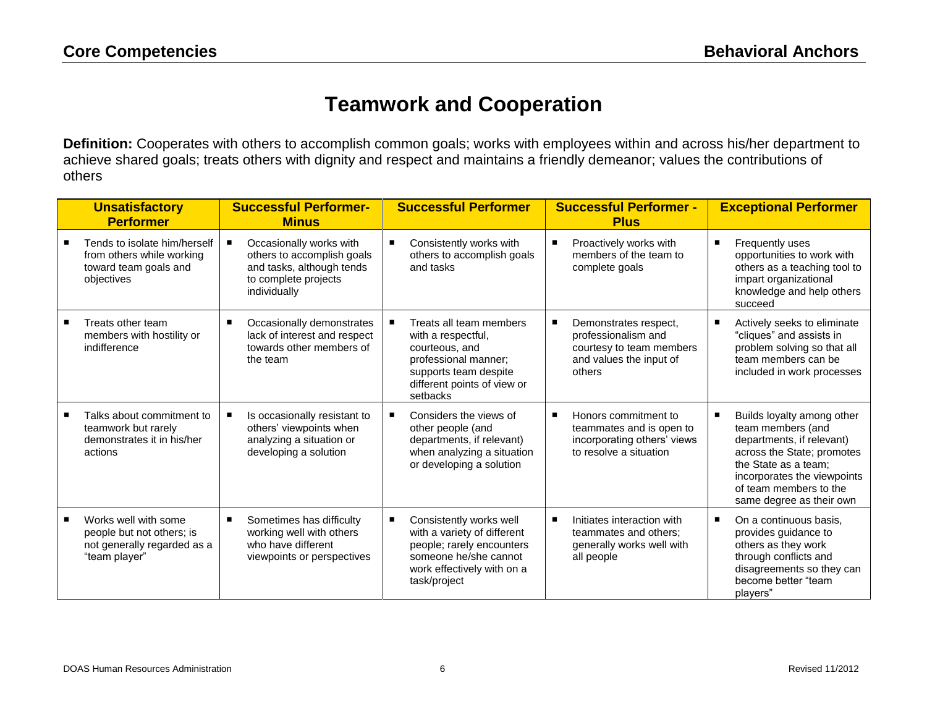#### **Teamwork and Cooperation**

**Definition:** Cooperates with others to accomplish common goals; works with employees within and across his/her department to achieve shared goals; treats others with dignity and respect and maintains a friendly demeanor; values the contributions of others

| <b>Unsatisfactory</b><br><b>Performer</b>                                                         | <b>Successful Performer-</b><br><b>Minus</b>                                                                               |                | <b>Successful Performer</b>                                                                                                                                 |   | <b>Successful Performer -</b><br><b>Plus</b>                                                                  |   | <b>Exceptional Performer</b>                                                                                                                                                                                            |
|---------------------------------------------------------------------------------------------------|----------------------------------------------------------------------------------------------------------------------------|----------------|-------------------------------------------------------------------------------------------------------------------------------------------------------------|---|---------------------------------------------------------------------------------------------------------------|---|-------------------------------------------------------------------------------------------------------------------------------------------------------------------------------------------------------------------------|
| Tends to isolate him/herself<br>from others while working<br>toward team goals and<br>objectives  | Occasionally works with<br>others to accomplish goals<br>and tasks, although tends<br>to complete projects<br>individually | $\blacksquare$ | Consistently works with<br>others to accomplish goals<br>and tasks                                                                                          |   | Proactively works with<br>members of the team to<br>complete goals                                            | П | Frequently uses<br>opportunities to work with<br>others as a teaching tool to<br>impart organizational<br>knowledge and help others<br>succeed                                                                          |
| Treats other team<br>members with hostility or<br>indifference                                    | Occasionally demonstrates<br>lack of interest and respect<br>towards other members of<br>the team                          |                | Treats all team members<br>with a respectful,<br>courteous, and<br>professional manner;<br>supports team despite<br>different points of view or<br>setbacks |   | Demonstrates respect,<br>professionalism and<br>courtesy to team members<br>and values the input of<br>others | г | Actively seeks to eliminate<br>"cliques" and assists in<br>problem solving so that all<br>team members can be<br>included in work processes                                                                             |
| Talks about commitment to<br>teamwork but rarely<br>demonstrates it in his/her<br>actions         | Is occasionally resistant to<br>others' viewpoints when<br>analyzing a situation or<br>developing a solution               |                | Considers the views of<br>other people (and<br>departments, if relevant)<br>when analyzing a situation<br>or developing a solution                          | п | Honors commitment to<br>teammates and is open to<br>incorporating others' views<br>to resolve a situation     | п | Builds loyalty among other<br>team members (and<br>departments, if relevant)<br>across the State; promotes<br>the State as a team:<br>incorporates the viewpoints<br>of team members to the<br>same degree as their own |
| Works well with some<br>people but not others; is<br>not generally regarded as a<br>"team player" | Sometimes has difficulty<br>working well with others<br>who have different<br>viewpoints or perspectives                   | п              | Consistently works well<br>with a variety of different<br>people; rarely encounters<br>someone he/she cannot<br>work effectively with on a<br>task/project  |   | Initiates interaction with<br>teammates and others;<br>generally works well with<br>all people                | п | On a continuous basis,<br>provides guidance to<br>others as they work<br>through conflicts and<br>disagreements so they can<br>become better "team<br>players"                                                          |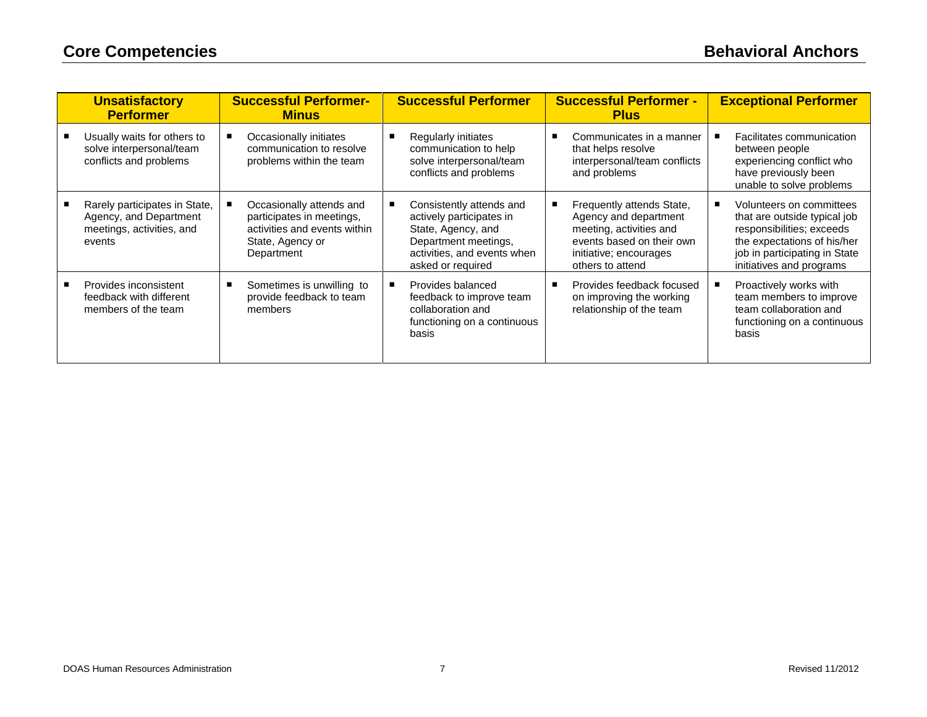| <b>Unsatisfactory</b><br><b>Performer</b>                                                      | <b>Successful Performer-</b><br><b>Minus</b>                                                                            | <b>Successful Performer</b>                                                                                                                            | <b>Successful Performer -</b><br><b>Plus</b>                                                                                                             | <b>Exceptional Performer</b>                                                                                                                                                      |
|------------------------------------------------------------------------------------------------|-------------------------------------------------------------------------------------------------------------------------|--------------------------------------------------------------------------------------------------------------------------------------------------------|----------------------------------------------------------------------------------------------------------------------------------------------------------|-----------------------------------------------------------------------------------------------------------------------------------------------------------------------------------|
| Usually waits for others to<br>solve interpersonal/team<br>conflicts and problems              | Occasionally initiates<br>communication to resolve<br>problems within the team                                          | Regularly initiates<br>communication to help<br>solve interpersonal/team<br>conflicts and problems                                                     | Communicates in a manner<br>that helps resolve<br>interpersonal/team conflicts<br>and problems                                                           | Facilitates communication<br>between people<br>experiencing conflict who<br>have previously been<br>unable to solve problems                                                      |
| Rarely participates in State,<br>Agency, and Department<br>meetings, activities, and<br>events | Occasionally attends and<br>participates in meetings,<br>activities and events within<br>State, Agency or<br>Department | Consistently attends and<br>actively participates in<br>State, Agency, and<br>Department meetings,<br>activities, and events when<br>asked or required | Frequently attends State,<br>Agency and department<br>meeting, activities and<br>events based on their own<br>initiative; encourages<br>others to attend | Volunteers on committees<br>that are outside typical job<br>responsibilities; exceeds<br>the expectations of his/her<br>job in participating in State<br>initiatives and programs |
| Provides inconsistent<br>feedback with different<br>members of the team                        | Sometimes is unwilling to<br>provide feedback to team<br>members                                                        | Provides balanced<br>feedback to improve team<br>collaboration and<br>functioning on a continuous<br>basis                                             | Provides feedback focused<br>on improving the working<br>relationship of the team                                                                        | Proactively works with<br>team members to improve<br>team collaboration and<br>functioning on a continuous<br>basis                                                               |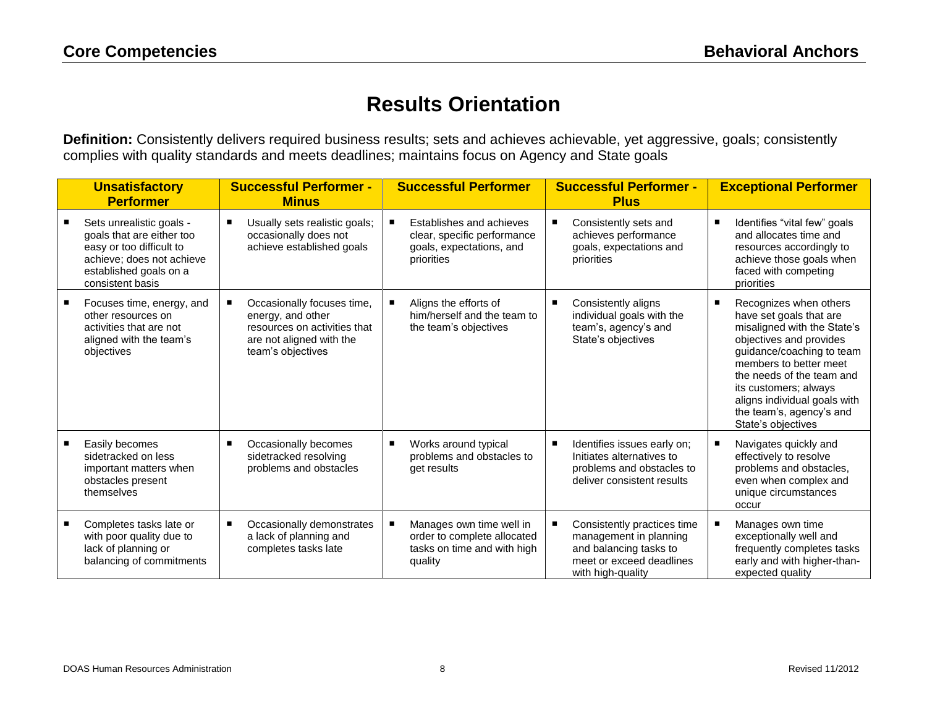## **Results Orientation**

**Definition:** Consistently delivers required business results; sets and achieves achievable, yet aggressive, goals; consistently complies with quality standards and meets deadlines; maintains focus on Agency and State goals

|   | <b>Unsatisfactory</b><br><b>Performer</b>                                                                                                                    | <b>Successful Performer -</b><br><b>Minus</b>                                                                                    | <b>Successful Performer</b>                                                                       | <b>Successful Performer -</b><br><b>Plus</b>                                                                                     | <b>Exceptional Performer</b>                                                                                                                                                                                                                                                                                    |
|---|--------------------------------------------------------------------------------------------------------------------------------------------------------------|----------------------------------------------------------------------------------------------------------------------------------|---------------------------------------------------------------------------------------------------|----------------------------------------------------------------------------------------------------------------------------------|-----------------------------------------------------------------------------------------------------------------------------------------------------------------------------------------------------------------------------------------------------------------------------------------------------------------|
|   | Sets unrealistic goals -<br>goals that are either too<br>easy or too difficult to<br>achieve; does not achieve<br>established goals on a<br>consistent basis | Usually sets realistic goals;<br>occasionally does not<br>achieve established goals                                              | Establishes and achieves<br>clear, specific performance<br>goals, expectations, and<br>priorities | Consistently sets and<br>achieves performance<br>goals, expectations and<br>priorities                                           | Identifies "vital few" goals<br>п<br>and allocates time and<br>resources accordingly to<br>achieve those goals when<br>faced with competing<br>priorities                                                                                                                                                       |
| ٠ | Focuses time, energy, and<br>other resources on<br>activities that are not<br>aligned with the team's<br>objectives                                          | Occasionally focuses time,<br>energy, and other<br>resources on activities that<br>are not aligned with the<br>team's objectives | Aligns the efforts of<br>him/herself and the team to<br>the team's objectives                     | Consistently aligns<br>individual goals with the<br>team's, agency's and<br>State's objectives                                   | Recognizes when others<br>п<br>have set goals that are<br>misaligned with the State's<br>objectives and provides<br>guidance/coaching to team<br>members to better meet<br>the needs of the team and<br>its customers; always<br>aligns individual goals with<br>the team's, agency's and<br>State's objectives |
|   | Easily becomes<br>sidetracked on less<br>important matters when<br>obstacles present<br>themselves                                                           | Occasionally becomes<br>٠<br>sidetracked resolving<br>problems and obstacles                                                     | Works around typical<br>problems and obstacles to<br>get results                                  | Identifies issues early on;<br>Initiates alternatives to<br>problems and obstacles to<br>deliver consistent results              | Navigates quickly and<br>effectively to resolve<br>problems and obstacles,<br>even when complex and<br>unique circumstances<br>occur                                                                                                                                                                            |
| п | Completes tasks late or<br>with poor quality due to<br>lack of planning or<br>balancing of commitments                                                       | Occasionally demonstrates<br>a lack of planning and<br>completes tasks late                                                      | Manages own time well in<br>order to complete allocated<br>tasks on time and with high<br>quality | Consistently practices time<br>management in planning<br>and balancing tasks to<br>meet or exceed deadlines<br>with high-quality | Manages own time<br>exceptionally well and<br>frequently completes tasks<br>early and with higher-than-<br>expected quality                                                                                                                                                                                     |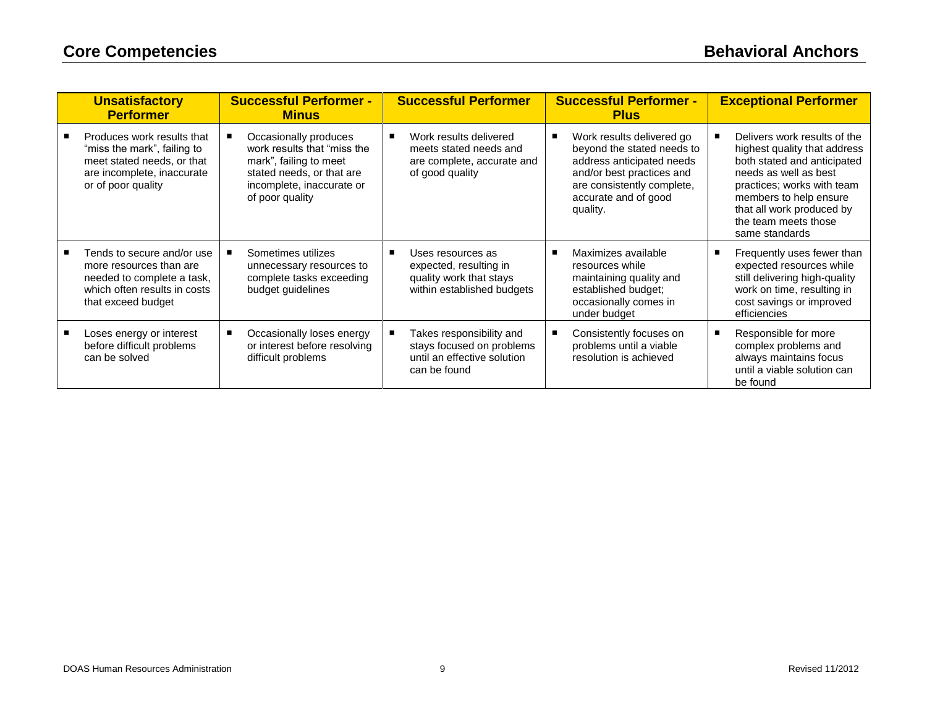| <b>Unsatisfactory</b><br><b>Performer</b>                                                                                                   | <b>Successful Performer -</b><br><b>Minus</b>                                                                                                               | <b>Successful Performer</b>                                                                          | <b>Successful Performer -</b><br><b>Plus</b>                                                                                                                                        | <b>Exceptional Performer</b>                                                                                                                                                                                                                        |
|---------------------------------------------------------------------------------------------------------------------------------------------|-------------------------------------------------------------------------------------------------------------------------------------------------------------|------------------------------------------------------------------------------------------------------|-------------------------------------------------------------------------------------------------------------------------------------------------------------------------------------|-----------------------------------------------------------------------------------------------------------------------------------------------------------------------------------------------------------------------------------------------------|
| Produces work results that<br>"miss the mark", failing to<br>meet stated needs, or that<br>are incomplete, inaccurate<br>or of poor quality | Occasionally produces<br>work results that "miss the<br>mark", failing to meet<br>stated needs, or that are<br>incomplete, inaccurate or<br>of poor quality | Work results delivered<br>meets stated needs and<br>are complete, accurate and<br>of good quality    | Work results delivered go<br>beyond the stated needs to<br>address anticipated needs<br>and/or best practices and<br>are consistently complete,<br>accurate and of good<br>quality. | Delivers work results of the<br>highest quality that address<br>both stated and anticipated<br>needs as well as best<br>practices; works with team<br>members to help ensure<br>that all work produced by<br>the team meets those<br>same standards |
| Tends to secure and/or use<br>more resources than are<br>needed to complete a task,<br>which often results in costs<br>that exceed budget   | Sometimes utilizes<br>unnecessary resources to<br>complete tasks exceeding<br>budget guidelines                                                             | Uses resources as<br>expected, resulting in<br>quality work that stays<br>within established budgets | Maximizes available<br>resources while<br>maintaining quality and<br>established budget;<br>occasionally comes in<br>under budget                                                   | Frequently uses fewer than<br>expected resources while<br>still delivering high-quality<br>work on time, resulting in<br>cost savings or improved<br>efficiencies                                                                                   |
| Loses energy or interest<br>before difficult problems<br>can be solved                                                                      | Occasionally loses energy<br>or interest before resolving<br>difficult problems                                                                             | Takes responsibility and<br>stays focused on problems<br>until an effective solution<br>can be found | Consistently focuses on<br>problems until a viable<br>resolution is achieved                                                                                                        | Responsible for more<br>complex problems and<br>always maintains focus<br>until a viable solution can<br>be found                                                                                                                                   |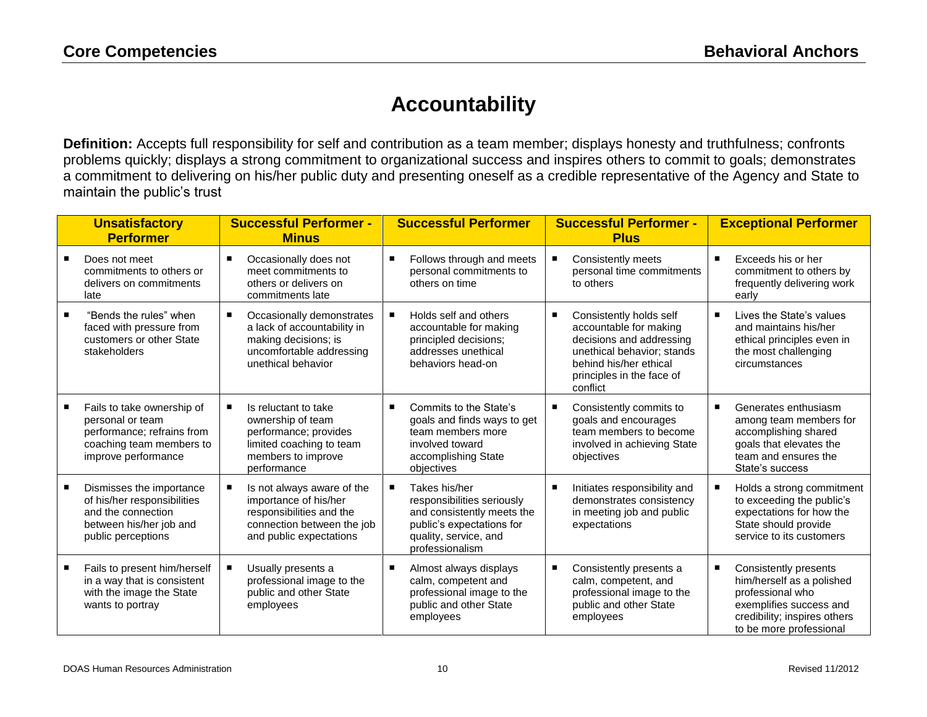## **Accountability**

**Definition:** Accepts full responsibility for self and contribution as a team member; displays honesty and truthfulness; confronts problems quickly; displays a strong commitment to organizational success and inspires others to commit to goals; demonstrates a commitment to delivering on his/her public duty and presenting oneself as a credible representative of the Agency and State to maintain the public's trust

| <b>Unsatisfactory</b><br><b>Performer</b>                                                                                       | <b>Successful Performer -</b><br><b>Minus</b>                                                                                            | <b>Successful Performer</b>                                                                                                                        | <b>Successful Performer -</b><br><b>Plus</b>                                                                                                                                   |   | <b>Exceptional Performer</b>                                                                                                                                 |
|---------------------------------------------------------------------------------------------------------------------------------|------------------------------------------------------------------------------------------------------------------------------------------|----------------------------------------------------------------------------------------------------------------------------------------------------|--------------------------------------------------------------------------------------------------------------------------------------------------------------------------------|---|--------------------------------------------------------------------------------------------------------------------------------------------------------------|
| Does not meet<br>commitments to others or<br>delivers on commitments<br>late                                                    | Occasionally does not<br>meet commitments to<br>others or delivers on<br>commitments late                                                | Follows through and meets<br>personal commitments to<br>others on time                                                                             | Consistently meets<br>personal time commitments<br>to others                                                                                                                   | п | Exceeds his or her<br>commitment to others by<br>frequently delivering work<br>early                                                                         |
| "Bends the rules" when<br>faced with pressure from<br>customers or other State<br>stakeholders                                  | Occasionally demonstrates<br>٠<br>a lack of accountability in<br>making decisions; is<br>uncomfortable addressing<br>unethical behavior  | Holds self and others<br>accountable for making<br>principled decisions;<br>addresses unethical<br>behaviors head-on                               | Consistently holds self<br>accountable for making<br>decisions and addressing<br>unethical behavior; stands<br>behind his/her ethical<br>principles in the face of<br>conflict | п | Lives the State's values<br>and maintains his/her<br>ethical principles even in<br>the most challenging<br>circumstances                                     |
| Fails to take ownership of<br>personal or team<br>performance; refrains from<br>coaching team members to<br>improve performance | Is reluctant to take<br>ownership of team<br>performance; provides<br>limited coaching to team<br>members to improve<br>performance      | Commits to the State's<br>goals and finds ways to get<br>team members more<br>involved toward<br>accomplishing State<br>objectives                 | Consistently commits to<br>goals and encourages<br>team members to become<br>involved in achieving State<br>objectives                                                         | п | Generates enthusiasm<br>among team members for<br>accomplishing shared<br>goals that elevates the<br>team and ensures the<br>State's success                 |
| Dismisses the importance<br>of his/her responsibilities<br>and the connection<br>between his/her job and<br>public perceptions  | Is not always aware of the<br>importance of his/her<br>responsibilities and the<br>connection between the job<br>and public expectations | Takes his/her<br>responsibilities seriously<br>and consistently meets the<br>public's expectations for<br>quality, service, and<br>professionalism | Initiates responsibility and<br>demonstrates consistency<br>in meeting job and public<br>expectations                                                                          |   | Holds a strong commitment<br>to exceeding the public's<br>expectations for how the<br>State should provide<br>service to its customers                       |
| Fails to present him/herself<br>in a way that is consistent<br>with the image the State<br>wants to portray                     | Usually presents a<br>professional image to the<br>public and other State<br>employees                                                   | Almost always displays<br>calm, competent and<br>professional image to the<br>public and other State<br>employees                                  | Consistently presents a<br>calm, competent, and<br>professional image to the<br>public and other State<br>employees                                                            | Е | Consistently presents<br>him/herself as a polished<br>professional who<br>exemplifies success and<br>credibility; inspires others<br>to be more professional |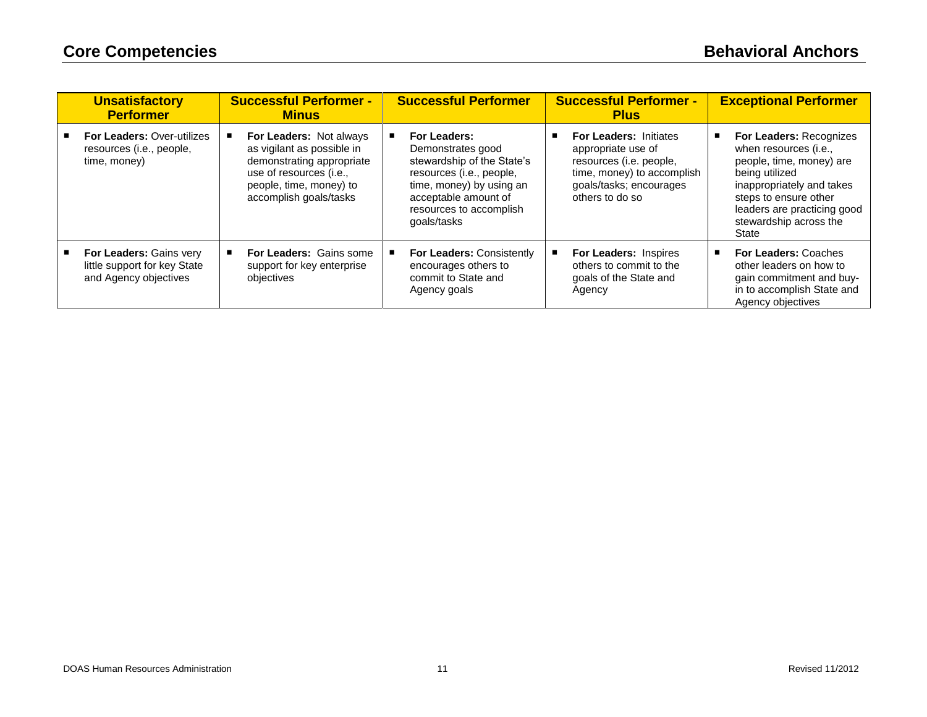| <b>Unsatisfactory</b><br><b>Performer</b>                                               | <b>Successful Performer -</b><br><b>Minus</b>                                                                                                                             | <b>Successful Performer</b>                                                                                                                                                               | <b>Successful Performer -</b><br><b>Plus</b>                                                                                                               | <b>Exceptional Performer</b>                                                                                                                                                                                                  |
|-----------------------------------------------------------------------------------------|---------------------------------------------------------------------------------------------------------------------------------------------------------------------------|-------------------------------------------------------------------------------------------------------------------------------------------------------------------------------------------|------------------------------------------------------------------------------------------------------------------------------------------------------------|-------------------------------------------------------------------------------------------------------------------------------------------------------------------------------------------------------------------------------|
| <b>For Leaders: Over-utilizes</b><br>resources (i.e., people,<br>time, money)           | <b>For Leaders: Not always</b><br>as vigilant as possible in<br>demonstrating appropriate<br>use of resources (i.e.,<br>people, time, money) to<br>accomplish goals/tasks | For Leaders:<br>Demonstrates good<br>stewardship of the State's<br>resources (i.e., people,<br>time, money) by using an<br>acceptable amount of<br>resources to accomplish<br>goals/tasks | <b>For Leaders: Initiates</b><br>appropriate use of<br>resources (i.e. people,<br>time, money) to accomplish<br>goals/tasks; encourages<br>others to do so | <b>For Leaders: Recognizes</b><br>when resources (i.e.,<br>people, time, money) are<br>being utilized<br>inappropriately and takes<br>steps to ensure other<br>leaders are practicing good<br>stewardship across the<br>State |
| <b>For Leaders: Gains very</b><br>little support for key State<br>and Agency objectives | <b>For Leaders: Gains some</b><br>support for key enterprise<br>objectives                                                                                                | <b>For Leaders: Consistently</b><br>encourages others to<br>commit to State and<br>Agency goals                                                                                           | <b>For Leaders: Inspires</b><br>others to commit to the<br>goals of the State and<br>Agency                                                                | <b>For Leaders: Coaches</b><br>other leaders on how to<br>gain commitment and buy-<br>in to accomplish State and<br>Agency objectives                                                                                         |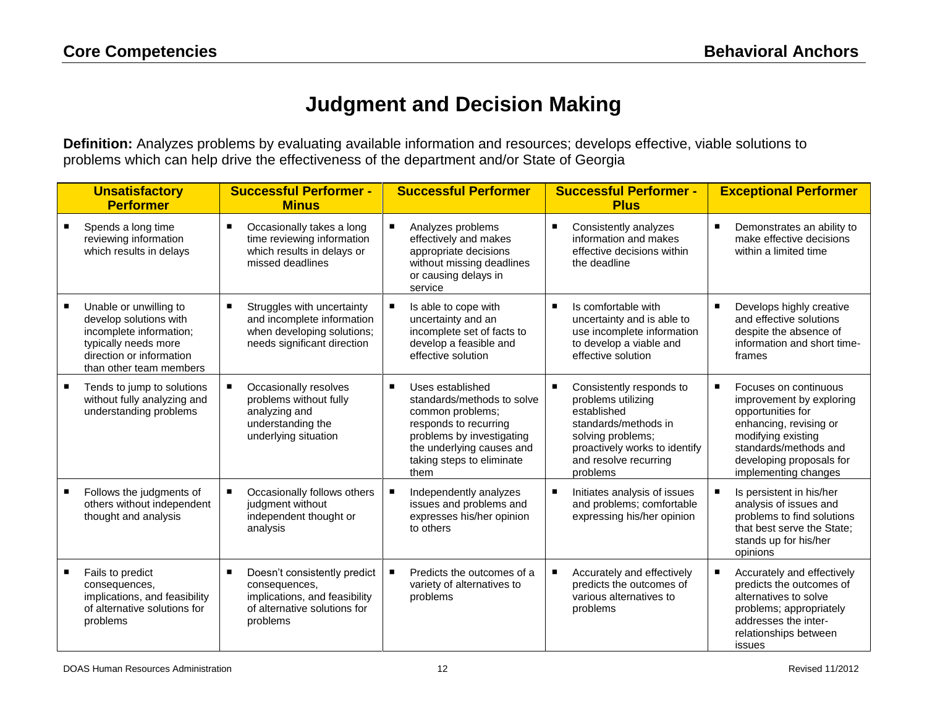## **Judgment and Decision Making**

**Definition:** Analyzes problems by evaluating available information and resources; develops effective, viable solutions to problems which can help drive the effectiveness of the department and/or State of Georgia

|   | <b>Unsatisfactory</b><br><b>Performer</b>                                                                                                                  | <b>Successful Performer -</b><br><b>Minus</b>                                                                              | <b>Successful Performer</b>                                                                                                                                                                                  | <b>Successful Performer -</b><br><b>Plus</b>                                                                                                                                     | <b>Exceptional Performer</b>                                                                                                                                                                        |
|---|------------------------------------------------------------------------------------------------------------------------------------------------------------|----------------------------------------------------------------------------------------------------------------------------|--------------------------------------------------------------------------------------------------------------------------------------------------------------------------------------------------------------|----------------------------------------------------------------------------------------------------------------------------------------------------------------------------------|-----------------------------------------------------------------------------------------------------------------------------------------------------------------------------------------------------|
|   | Spends a long time<br>reviewing information<br>which results in delays                                                                                     | Occasionally takes a long<br>п<br>time reviewing information<br>which results in delays or<br>missed deadlines             | Analyzes problems<br>effectively and makes<br>appropriate decisions<br>without missing deadlines<br>or causing delays in<br>service                                                                          | Consistently analyzes<br>٠<br>information and makes<br>effective decisions within<br>the deadline                                                                                | Demonstrates an ability to<br>make effective decisions<br>within a limited time                                                                                                                     |
|   | Unable or unwilling to<br>develop solutions with<br>incomplete information;<br>typically needs more<br>direction or information<br>than other team members | Struggles with uncertainty<br>and incomplete information<br>when developing solutions;<br>needs significant direction      | Is able to cope with<br>uncertainty and an<br>incomplete set of facts to<br>develop a feasible and<br>effective solution                                                                                     | Is comfortable with<br>uncertainty and is able to<br>use incomplete information<br>to develop a viable and<br>effective solution                                                 | Develops highly creative<br>and effective solutions<br>despite the absence of<br>information and short time-<br>frames                                                                              |
|   | Tends to jump to solutions<br>without fully analyzing and<br>understanding problems                                                                        | Occasionally resolves<br>problems without fully<br>analyzing and<br>understanding the<br>underlying situation              | $\blacksquare$<br>Uses established<br>standards/methods to solve<br>common problems;<br>responds to recurring<br>problems by investigating<br>the underlying causes and<br>taking steps to eliminate<br>them | Consistently responds to<br>problems utilizing<br>established<br>standards/methods in<br>solving problems;<br>proactively works to identify<br>and resolve recurring<br>problems | Focuses on continuous<br>improvement by exploring<br>opportunities for<br>enhancing, revising or<br>modifying existing<br>standards/methods and<br>developing proposals for<br>implementing changes |
| ٠ | Follows the judgments of<br>others without independent<br>thought and analysis                                                                             | Occasionally follows others<br>٠<br>judgment without<br>independent thought or<br>analysis                                 | Independently analyzes<br>issues and problems and<br>expresses his/her opinion<br>to others                                                                                                                  | Initiates analysis of issues<br>٠<br>and problems; comfortable<br>expressing his/her opinion                                                                                     | Is persistent in his/her<br>analysis of issues and<br>problems to find solutions<br>that best serve the State:<br>stands up for his/her<br>opinions                                                 |
|   | Fails to predict<br>consequences,<br>implications, and feasibility<br>of alternative solutions for<br>problems                                             | Doesn't consistently predict<br>consequences,<br>implications, and feasibility<br>of alternative solutions for<br>problems | Predicts the outcomes of a<br>variety of alternatives to<br>problems                                                                                                                                         | Accurately and effectively<br>predicts the outcomes of<br>various alternatives to<br>problems                                                                                    | Accurately and effectively<br>predicts the outcomes of<br>alternatives to solve<br>problems; appropriately<br>addresses the inter-<br>relationships between<br>issues                               |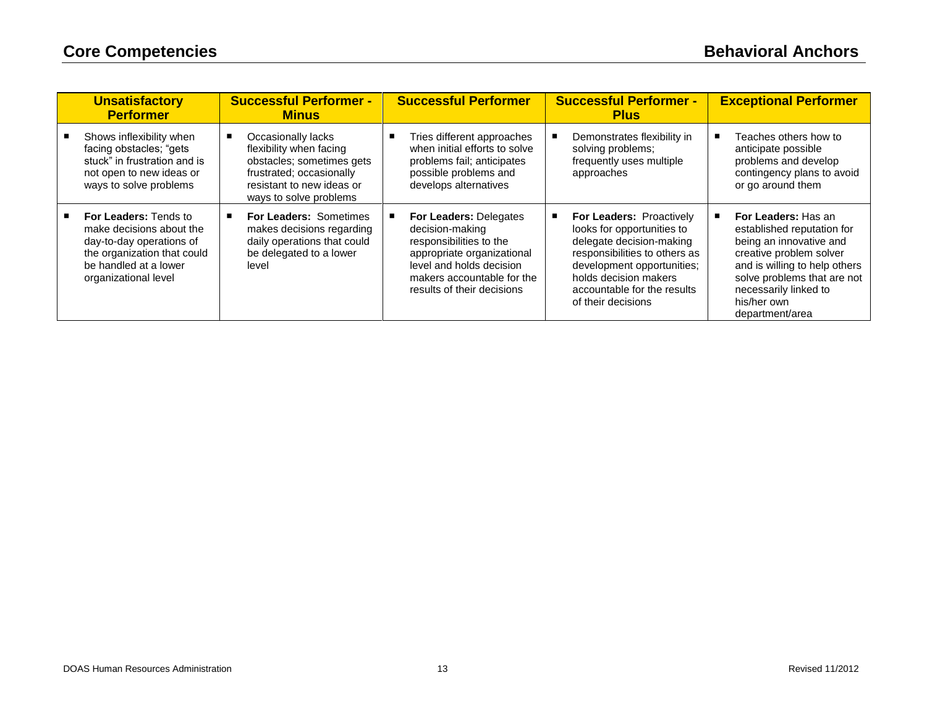| <b>Unsatisfactory</b><br><b>Performer</b>                                                                                                                            | <b>Successful Performer -</b><br><b>Minus</b>                                                                                                                 | <b>Successful Performer</b>                                                                                                                                                                       | <b>Successful Performer -</b><br><b>Plus</b>                                                                                                                                                                                           | <b>Exceptional Performer</b>                                                                                                                                                                                                       |
|----------------------------------------------------------------------------------------------------------------------------------------------------------------------|---------------------------------------------------------------------------------------------------------------------------------------------------------------|---------------------------------------------------------------------------------------------------------------------------------------------------------------------------------------------------|----------------------------------------------------------------------------------------------------------------------------------------------------------------------------------------------------------------------------------------|------------------------------------------------------------------------------------------------------------------------------------------------------------------------------------------------------------------------------------|
| Shows inflexibility when<br>facing obstacles; "gets<br>stuck" in frustration and is<br>not open to new ideas or<br>ways to solve problems                            | Occasionally lacks<br>flexibility when facing<br>obstacles; sometimes gets<br>frustrated; occasionally<br>resistant to new ideas or<br>ways to solve problems | Tries different approaches<br>when initial efforts to solve<br>problems fail; anticipates<br>possible problems and<br>develops alternatives                                                       | Demonstrates flexibility in<br>solving problems;<br>frequently uses multiple<br>approaches                                                                                                                                             | Teaches others how to<br>anticipate possible<br>problems and develop<br>contingency plans to avoid<br>or go around them                                                                                                            |
| <b>For Leaders: Tends to</b><br>make decisions about the<br>day-to-day operations of<br>the organization that could<br>be handled at a lower<br>organizational level | <b>For Leaders: Sometimes</b><br>makes decisions regarding<br>daily operations that could<br>be delegated to a lower<br>level                                 | <b>For Leaders: Delegates</b><br>decision-making<br>responsibilities to the<br>appropriate organizational<br>level and holds decision<br>makers accountable for the<br>results of their decisions | <b>For Leaders: Proactively</b><br>looks for opportunities to<br>delegate decision-making<br>responsibilities to others as<br>development opportunities;<br>holds decision makers<br>accountable for the results<br>of their decisions | For Leaders: Has an<br>established reputation for<br>being an innovative and<br>creative problem solver<br>and is willing to help others<br>solve problems that are not<br>necessarily linked to<br>his/her own<br>department/area |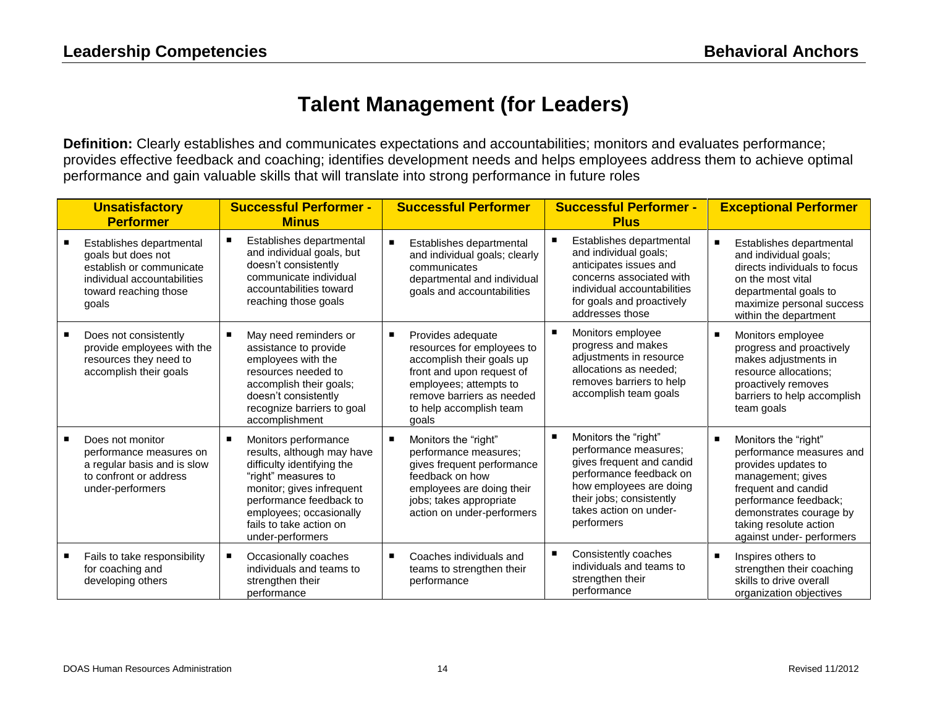## **Talent Management (for Leaders)**

**Definition:** Clearly establishes and communicates expectations and accountabilities; monitors and evaluates performance; provides effective feedback and coaching; identifies development needs and helps employees address them to achieve optimal performance and gain valuable skills that will translate into strong performance in future roles

| <b>Unsatisfactory</b><br><b>Performer</b>                                                                                                   | <b>Successful Performer -</b><br><b>Minus</b>                                                                                                                                                                                             |                | <b>Successful Performer</b>                                                                                                                                                                          | <b>Successful Performer -</b><br><b>Plus</b>                                                                                                                                                         |                | <b>Exceptional Performer</b>                                                                                                                                                                                                   |
|---------------------------------------------------------------------------------------------------------------------------------------------|-------------------------------------------------------------------------------------------------------------------------------------------------------------------------------------------------------------------------------------------|----------------|------------------------------------------------------------------------------------------------------------------------------------------------------------------------------------------------------|------------------------------------------------------------------------------------------------------------------------------------------------------------------------------------------------------|----------------|--------------------------------------------------------------------------------------------------------------------------------------------------------------------------------------------------------------------------------|
| Establishes departmental<br>goals but does not<br>establish or communicate<br>individual accountabilities<br>toward reaching those<br>qoals | Establishes departmental<br>and individual goals, but<br>doesn't consistently<br>communicate individual<br>accountabilities toward<br>reaching those goals                                                                                | $\blacksquare$ | Establishes departmental<br>and individual goals; clearly<br>communicates<br>departmental and individual<br>goals and accountabilities                                                               | Establishes departmental<br>and individual goals;<br>anticipates issues and<br>concerns associated with<br>individual accountabilities<br>for goals and proactively<br>addresses those               | п              | Establishes departmental<br>and individual goals;<br>directs individuals to focus<br>on the most vital<br>departmental goals to<br>maximize personal success<br>within the department                                          |
| Does not consistently<br>provide employees with the<br>resources they need to<br>accomplish their goals                                     | May need reminders or<br>assistance to provide<br>employees with the<br>resources needed to<br>accomplish their goals;<br>doesn't consistently<br>recognize barriers to goal<br>accomplishment                                            | ٠              | Provides adequate<br>resources for employees to<br>accomplish their goals up<br>front and upon request of<br>employees; attempts to<br>remove barriers as needed<br>to help accomplish team<br>goals | Monitors employee<br>progress and makes<br>adjustments in resource<br>allocations as needed:<br>removes barriers to help<br>accomplish team goals                                                    | п              | Monitors employee<br>progress and proactively<br>makes adjustments in<br>resource allocations:<br>proactively removes<br>barriers to help accomplish<br>team goals                                                             |
| Does not monitor<br>performance measures on<br>a regular basis and is slow<br>to confront or address<br>under-performers                    | Monitors performance<br>results, although may have<br>difficulty identifying the<br>"right" measures to<br>monitor; gives infrequent<br>performance feedback to<br>employees; occasionally<br>fails to take action on<br>under-performers |                | Monitors the "right"<br>performance measures;<br>gives frequent performance<br>feedback on how<br>employees are doing their<br>jobs; takes appropriate<br>action on under-performers                 | Monitors the "right"<br>performance measures;<br>gives frequent and candid<br>performance feedback on<br>how employees are doing<br>their jobs; consistently<br>takes action on under-<br>performers | п              | Monitors the "right"<br>performance measures and<br>provides updates to<br>management; gives<br>frequent and candid<br>performance feedback;<br>demonstrates courage by<br>taking resolute action<br>against under- performers |
| Fails to take responsibility<br>for coaching and<br>developing others                                                                       | Occasionally coaches<br>individuals and teams to<br>strengthen their<br>performance                                                                                                                                                       | $\blacksquare$ | Coaches individuals and<br>teams to strengthen their<br>performance                                                                                                                                  | Consistently coaches<br>individuals and teams to<br>strengthen their<br>performance                                                                                                                  | $\blacksquare$ | Inspires others to<br>strengthen their coaching<br>skills to drive overall<br>organization objectives                                                                                                                          |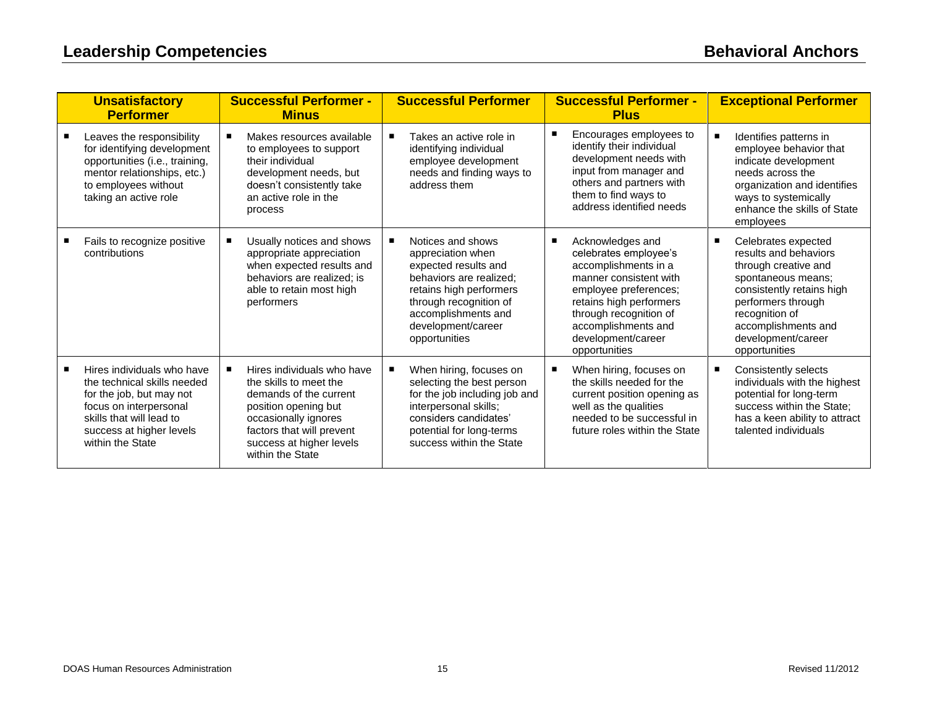| <b>Unsatisfactory</b><br><b>Performer</b>                                                                                                                                                   | <b>Successful Performer -</b><br><b>Minus</b>                                                                                                                                                               | <b>Successful Performer</b>                                                                                                                                                                                  | <b>Successful Performer -</b><br><b>Plus</b>                                                                                                                                                                                                              | <b>Exceptional Performer</b>                                                                                                                                                                                                  |
|---------------------------------------------------------------------------------------------------------------------------------------------------------------------------------------------|-------------------------------------------------------------------------------------------------------------------------------------------------------------------------------------------------------------|--------------------------------------------------------------------------------------------------------------------------------------------------------------------------------------------------------------|-----------------------------------------------------------------------------------------------------------------------------------------------------------------------------------------------------------------------------------------------------------|-------------------------------------------------------------------------------------------------------------------------------------------------------------------------------------------------------------------------------|
| Leaves the responsibility<br>for identifying development<br>opportunities (i.e., training,<br>mentor relationships, etc.)<br>to employees without<br>taking an active role                  | Makes resources available<br>to employees to support<br>their individual<br>development needs, but<br>doesn't consistently take<br>an active role in the<br>process                                         | Takes an active role in<br>identifying individual<br>employee development<br>needs and finding ways to<br>address them                                                                                       | Encourages employees to<br>identify their individual<br>development needs with<br>input from manager and<br>others and partners with<br>them to find ways to<br>address identified needs                                                                  | Identifies patterns in<br>employee behavior that<br>indicate development<br>needs across the<br>organization and identifies<br>ways to systemically<br>enhance the skills of State<br>employees                               |
| Fails to recognize positive<br>contributions                                                                                                                                                | Usually notices and shows<br>appropriate appreciation<br>when expected results and<br>behaviors are realized; is<br>able to retain most high<br>performers                                                  | Notices and shows<br>appreciation when<br>expected results and<br>behaviors are realized;<br>retains high performers<br>through recognition of<br>accomplishments and<br>development/career<br>opportunities | Acknowledges and<br>$\blacksquare$<br>celebrates employee's<br>accomplishments in a<br>manner consistent with<br>employee preferences;<br>retains high performers<br>through recognition of<br>accomplishments and<br>development/career<br>opportunities | Celebrates expected<br>results and behaviors<br>through creative and<br>spontaneous means;<br>consistently retains high<br>performers through<br>recognition of<br>accomplishments and<br>development/career<br>opportunities |
| Hires individuals who have<br>the technical skills needed<br>for the job, but may not<br>focus on interpersonal<br>skills that will lead to<br>success at higher levels<br>within the State | Hires individuals who have<br>the skills to meet the<br>demands of the current<br>position opening but<br>occasionally ignores<br>factors that will prevent<br>success at higher levels<br>within the State | When hiring, focuses on<br>selecting the best person<br>for the job including job and<br>interpersonal skills;<br>considers candidates'<br>potential for long-terms<br>success within the State              | When hiring, focuses on<br>the skills needed for the<br>current position opening as<br>well as the qualities<br>needed to be successful in<br>future roles within the State                                                                               | Consistently selects<br>individuals with the highest<br>potential for long-term<br>success within the State:<br>has a keen ability to attract<br>talented individuals                                                         |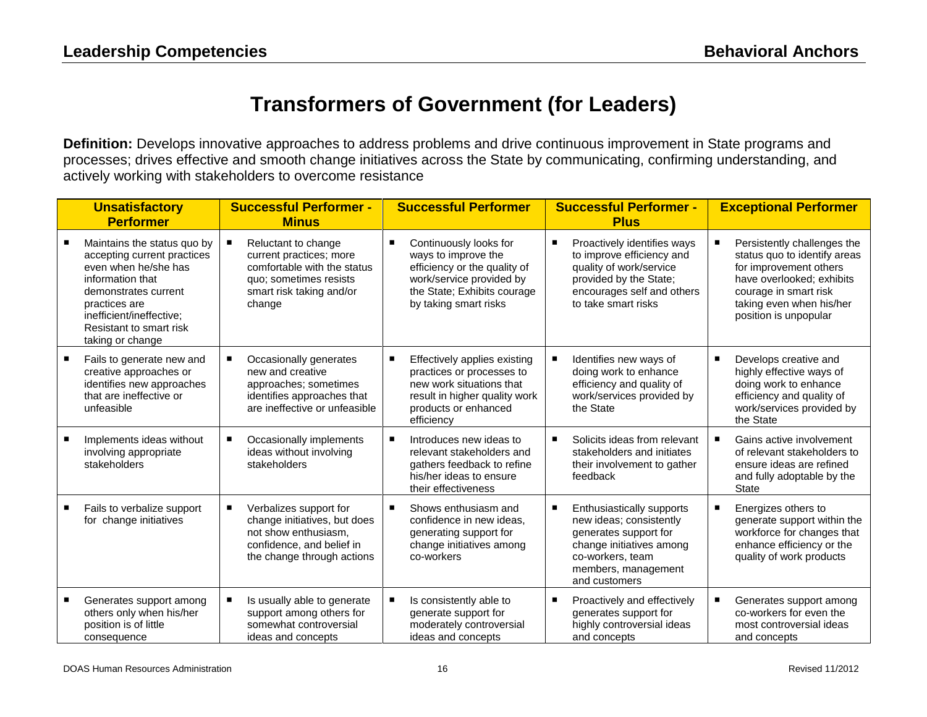## **Transformers of Government (for Leaders)**

**Definition:** Develops innovative approaches to address problems and drive continuous improvement in State programs and processes; drives effective and smooth change initiatives across the State by communicating, confirming understanding, and actively working with stakeholders to overcome resistance

| <b>Unsatisfactory</b><br><b>Performer</b>                                                                                                                                                                                  | <b>Successful Performer -</b><br><b>Minus</b>                                                                                                  | <b>Successful Performer</b>                                                                                                                                       | <b>Successful Performer -</b><br><b>Plus</b>                                                                                                                          |   | <b>Exceptional Performer</b>                                                                                                                                                                     |
|----------------------------------------------------------------------------------------------------------------------------------------------------------------------------------------------------------------------------|------------------------------------------------------------------------------------------------------------------------------------------------|-------------------------------------------------------------------------------------------------------------------------------------------------------------------|-----------------------------------------------------------------------------------------------------------------------------------------------------------------------|---|--------------------------------------------------------------------------------------------------------------------------------------------------------------------------------------------------|
| Maintains the status quo by<br>accepting current practices<br>even when he/she has<br>information that<br>demonstrates current<br>practices are<br>inefficient/ineffective:<br>Resistant to smart risk<br>taking or change | Reluctant to change<br>current practices; more<br>comfortable with the status<br>quo; sometimes resists<br>smart risk taking and/or<br>change  | Continuously looks for<br>ways to improve the<br>efficiency or the quality of<br>work/service provided by<br>the State; Exhibits courage<br>by taking smart risks | Proactively identifies ways<br>to improve efficiency and<br>quality of work/service<br>provided by the State;<br>encourages self and others<br>to take smart risks    |   | Persistently challenges the<br>status quo to identify areas<br>for improvement others<br>have overlooked; exhibits<br>courage in smart risk<br>taking even when his/her<br>position is unpopular |
| Fails to generate new and<br>creative approaches or<br>identifies new approaches<br>that are ineffective or<br>unfeasible                                                                                                  | Occasionally generates<br>new and creative<br>approaches; sometimes<br>identifies approaches that<br>are ineffective or unfeasible             | Effectively applies existing<br>practices or processes to<br>new work situations that<br>result in higher quality work<br>products or enhanced<br>efficiency      | Identifies new ways of<br>doing work to enhance<br>efficiency and quality of<br>work/services provided by<br>the State                                                | п | Develops creative and<br>highly effective ways of<br>doing work to enhance<br>efficiency and quality of<br>work/services provided by<br>the State                                                |
| Implements ideas without<br>involving appropriate<br>stakeholders                                                                                                                                                          | Occasionally implements<br>٠<br>ideas without involving<br>stakeholders                                                                        | Introduces new ideas to<br>relevant stakeholders and<br>gathers feedback to refine<br>his/her ideas to ensure<br>their effectiveness                              | Solicits ideas from relevant<br>stakeholders and initiates<br>their involvement to gather<br>feedback                                                                 | п | Gains active involvement<br>of relevant stakeholders to<br>ensure ideas are refined<br>and fully adoptable by the<br>State                                                                       |
| Fails to verbalize support<br>for change initiatives                                                                                                                                                                       | Verbalizes support for<br>٠<br>change initiatives, but does<br>not show enthusiasm.<br>confidence, and belief in<br>the change through actions | Shows enthusiasm and<br>confidence in new ideas,<br>generating support for<br>change initiatives among<br>co-workers                                              | Enthusiastically supports<br>new ideas; consistently<br>generates support for<br>change initiatives among<br>co-workers, team<br>members, management<br>and customers | Е | Energizes others to<br>generate support within the<br>workforce for changes that<br>enhance efficiency or the<br>quality of work products                                                        |
| Generates support among<br>others only when his/her<br>position is of little<br>consequence                                                                                                                                | Is usually able to generate<br>support among others for<br>somewhat controversial<br>ideas and concepts                                        | Is consistently able to<br>generate support for<br>moderately controversial<br>ideas and concepts                                                                 | Proactively and effectively<br>generates support for<br>highly controversial ideas<br>and concepts                                                                    |   | Generates support among<br>co-workers for even the<br>most controversial ideas<br>and concepts                                                                                                   |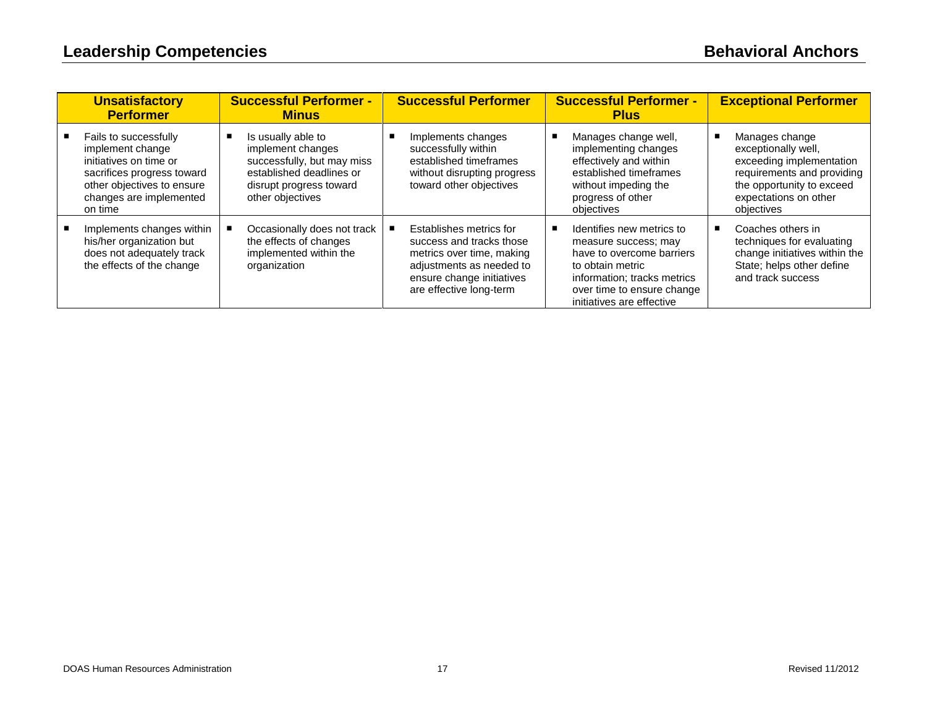| <b>Unsatisfactory</b><br><b>Performer</b>                                                                                                                             | <b>Successful Performer -</b><br><b>Minus</b>                                                                                                    | <b>Successful Performer</b>                                                                                                                                          | <b>Successful Performer -</b><br><b>Plus</b>                                                                                                                                                 | <b>Exceptional Performer</b>                                                                                                                                        |
|-----------------------------------------------------------------------------------------------------------------------------------------------------------------------|--------------------------------------------------------------------------------------------------------------------------------------------------|----------------------------------------------------------------------------------------------------------------------------------------------------------------------|----------------------------------------------------------------------------------------------------------------------------------------------------------------------------------------------|---------------------------------------------------------------------------------------------------------------------------------------------------------------------|
| Fails to successfully<br>implement change<br>initiatives on time or<br>sacrifices progress toward<br>other objectives to ensure<br>changes are implemented<br>on time | Is usually able to<br>implement changes<br>successfully, but may miss<br>established deadlines or<br>disrupt progress toward<br>other objectives | Implements changes<br>successfully within<br>established timeframes<br>without disrupting progress<br>toward other objectives                                        | Manages change well,<br>implementing changes<br>effectively and within<br>established timeframes<br>without impeding the<br>progress of other<br>objectives                                  | Manages change<br>exceptionally well,<br>exceeding implementation<br>requirements and providing<br>the opportunity to exceed<br>expectations on other<br>objectives |
| Implements changes within<br>his/her organization but<br>does not adequately track<br>the effects of the change                                                       | Occasionally does not track<br>the effects of changes<br>implemented within the<br>organization                                                  | Establishes metrics for<br>success and tracks those<br>metrics over time, making<br>adjustments as needed to<br>ensure change initiatives<br>are effective long-term | Identifies new metrics to<br>measure success; may<br>have to overcome barriers<br>to obtain metric<br>information; tracks metrics<br>over time to ensure change<br>initiatives are effective | Coaches others in<br>techniques for evaluating<br>change initiatives within the<br>State; helps other define<br>and track success                                   |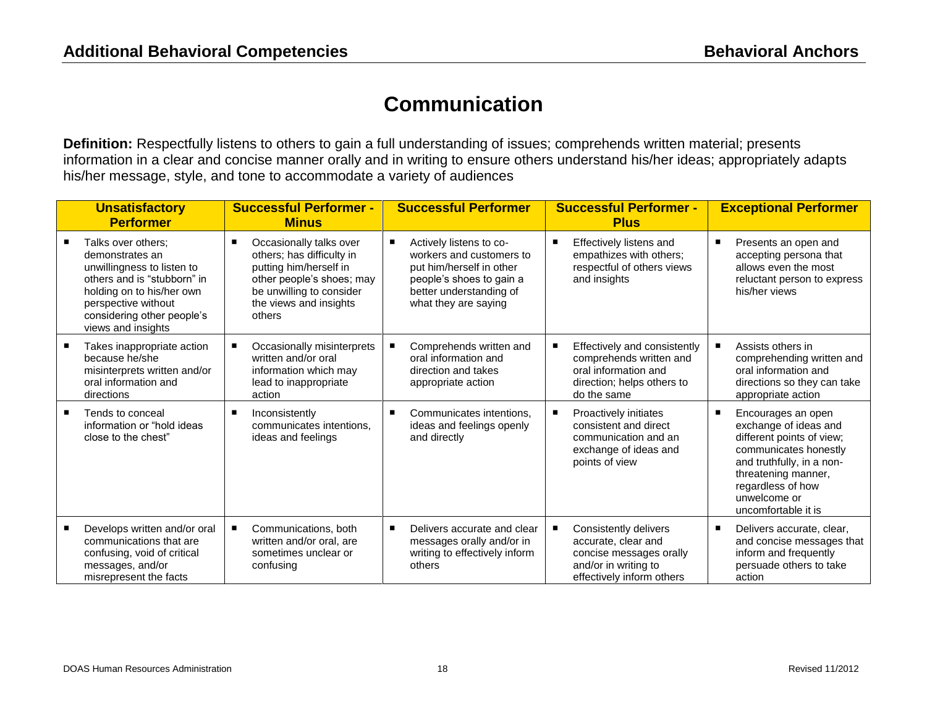#### **Communication**

**Definition:** Respectfully listens to others to gain a full understanding of issues; comprehends written material; presents information in a clear and concise manner orally and in writing to ensure others understand his/her ideas; appropriately adapts his/her message, style, and tone to accommodate a variety of audiences

| <b>Unsatisfactory</b><br><b>Performer</b>                                                                                                                                                                  |   | <b>Successful Performer -</b><br><b>Minus</b>                                                                                                                               |   | <b>Successful Performer</b>                                                                                                                                    | <b>Successful Performer -</b><br><b>Plus</b>                                                                                 |   | <b>Exceptional Performer</b>                                                                                                                                                                                      |
|------------------------------------------------------------------------------------------------------------------------------------------------------------------------------------------------------------|---|-----------------------------------------------------------------------------------------------------------------------------------------------------------------------------|---|----------------------------------------------------------------------------------------------------------------------------------------------------------------|------------------------------------------------------------------------------------------------------------------------------|---|-------------------------------------------------------------------------------------------------------------------------------------------------------------------------------------------------------------------|
| Talks over others:<br>demonstrates an<br>unwillingness to listen to<br>others and is "stubborn" in<br>holding on to his/her own<br>perspective without<br>considering other people's<br>views and insights | п | Occasionally talks over<br>others; has difficulty in<br>putting him/herself in<br>other people's shoes; may<br>be unwilling to consider<br>the views and insights<br>others | п | Actively listens to co-<br>workers and customers to<br>put him/herself in other<br>people's shoes to gain a<br>better understanding of<br>what they are saying | Effectively listens and<br>empathizes with others;<br>respectful of others views<br>and insights                             | п | Presents an open and<br>accepting persona that<br>allows even the most<br>reluctant person to express<br>his/her views                                                                                            |
| Takes inappropriate action<br>because he/she<br>misinterprets written and/or<br>oral information and<br>directions                                                                                         | ٠ | Occasionally misinterprets<br>written and/or oral<br>information which may<br>lead to inappropriate<br>action                                                               |   | Comprehends written and<br>oral information and<br>direction and takes<br>appropriate action                                                                   | Effectively and consistently<br>comprehends written and<br>oral information and<br>direction; helps others to<br>do the same |   | Assists others in<br>comprehending written and<br>oral information and<br>directions so they can take<br>appropriate action                                                                                       |
| Tends to conceal<br>information or "hold ideas<br>close to the chest"                                                                                                                                      | п | Inconsistently<br>communicates intentions.<br>ideas and feelings                                                                                                            |   | Communicates intentions,<br>ideas and feelings openly<br>and directly                                                                                          | Proactively initiates<br>consistent and direct<br>communication and an<br>exchange of ideas and<br>points of view            | Е | Encourages an open<br>exchange of ideas and<br>different points of view;<br>communicates honestly<br>and truthfully, in a non-<br>threatening manner,<br>regardless of how<br>unwelcome or<br>uncomfortable it is |
| Develops written and/or oral<br>communications that are<br>confusing, void of critical<br>messages, and/or<br>misrepresent the facts                                                                       | ٠ | Communications, both<br>written and/or oral, are<br>sometimes unclear or<br>confusing                                                                                       | п | Delivers accurate and clear<br>messages orally and/or in<br>writing to effectively inform<br>others                                                            | Consistently delivers<br>accurate, clear and<br>concise messages orally<br>and/or in writing to<br>effectively inform others | п | Delivers accurate, clear,<br>and concise messages that<br>inform and frequently<br>persuade others to take<br>action                                                                                              |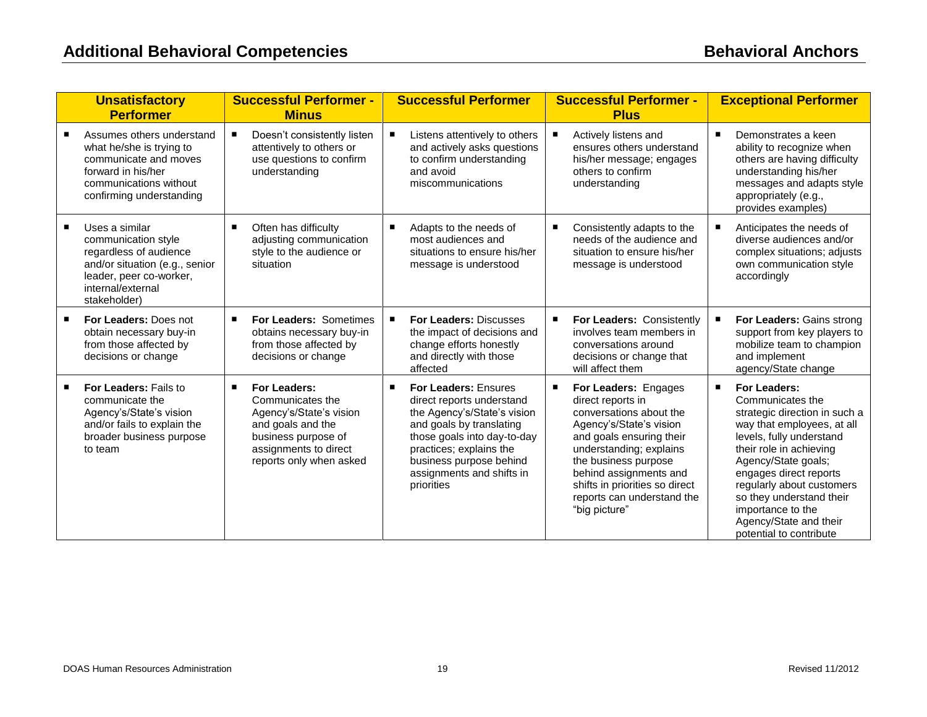| <b>Unsatisfactory</b><br><b>Performer</b>                                                                                                                         | <b>Successful Performer -</b><br><b>Minus</b>                                                                                                                    | <b>Successful Performer</b>                                                                                                                                                                                                                  | <b>Successful Performer -</b><br><b>Plus</b>                                                                                                                                                                                                                                                   | <b>Exceptional Performer</b>                                                                                                                                                                                                                                                                                                                                 |
|-------------------------------------------------------------------------------------------------------------------------------------------------------------------|------------------------------------------------------------------------------------------------------------------------------------------------------------------|----------------------------------------------------------------------------------------------------------------------------------------------------------------------------------------------------------------------------------------------|------------------------------------------------------------------------------------------------------------------------------------------------------------------------------------------------------------------------------------------------------------------------------------------------|--------------------------------------------------------------------------------------------------------------------------------------------------------------------------------------------------------------------------------------------------------------------------------------------------------------------------------------------------------------|
| Assumes others understand<br>what he/she is trying to<br>communicate and moves<br>forward in his/her<br>communications without<br>confirming understanding        | п<br>Doesn't consistently listen<br>attentively to others or<br>use questions to confirm<br>understanding                                                        | Listens attentively to others<br>and actively asks questions<br>to confirm understanding<br>and avoid<br>miscommunications                                                                                                                   | Actively listens and<br>ensures others understand<br>his/her message; engages<br>others to confirm<br>understanding                                                                                                                                                                            | Demonstrates a keen<br>ability to recognize when<br>others are having difficulty<br>understanding his/her<br>messages and adapts style<br>appropriately (e.g.,<br>provides examples)                                                                                                                                                                         |
| Uses a similar<br>communication style<br>regardless of audience<br>and/or situation (e.g., senior<br>leader, peer co-worker,<br>internal/external<br>stakeholder) | Often has difficulty<br>٠<br>adjusting communication<br>style to the audience or<br>situation                                                                    | Adapts to the needs of<br>п<br>most audiences and<br>situations to ensure his/her<br>message is understood                                                                                                                                   | ٠<br>Consistently adapts to the<br>needs of the audience and<br>situation to ensure his/her<br>message is understood                                                                                                                                                                           | Anticipates the needs of<br>diverse audiences and/or<br>complex situations; adjusts<br>own communication style<br>accordingly                                                                                                                                                                                                                                |
| For Leaders: Does not<br>٠<br>obtain necessary buy-in<br>from those affected by<br>decisions or change                                                            | For Leaders: Sometimes<br>٠<br>obtains necessary buy-in<br>from those affected by<br>decisions or change                                                         | <b>For Leaders: Discusses</b><br>the impact of decisions and<br>change efforts honestly<br>and directly with those<br>affected                                                                                                               | For Leaders: Consistently<br>$\blacksquare$<br>involves team members in<br>conversations around<br>decisions or change that<br>will affect them                                                                                                                                                | For Leaders: Gains strong<br>support from key players to<br>mobilize team to champion<br>and implement<br>agency/State change                                                                                                                                                                                                                                |
| For Leaders: Fails to<br>communicate the<br>Agency's/State's vision<br>and/or fails to explain the<br>broader business purpose<br>to team                         | For Leaders:<br>٠<br>Communicates the<br>Agency's/State's vision<br>and goals and the<br>business purpose of<br>assignments to direct<br>reports only when asked | For Leaders: Ensures<br>direct reports understand<br>the Agency's/State's vision<br>and goals by translating<br>those goals into day-to-day<br>practices; explains the<br>business purpose behind<br>assignments and shifts in<br>priorities | п<br>For Leaders: Engages<br>direct reports in<br>conversations about the<br>Agency's/State's vision<br>and goals ensuring their<br>understanding; explains<br>the business purpose<br>behind assignments and<br>shifts in priorities so direct<br>reports can understand the<br>"big picture" | For Leaders:<br>$\blacksquare$<br>Communicates the<br>strategic direction in such a<br>way that employees, at all<br>levels, fully understand<br>their role in achieving<br>Agency/State goals;<br>engages direct reports<br>regularly about customers<br>so they understand their<br>importance to the<br>Agency/State and their<br>potential to contribute |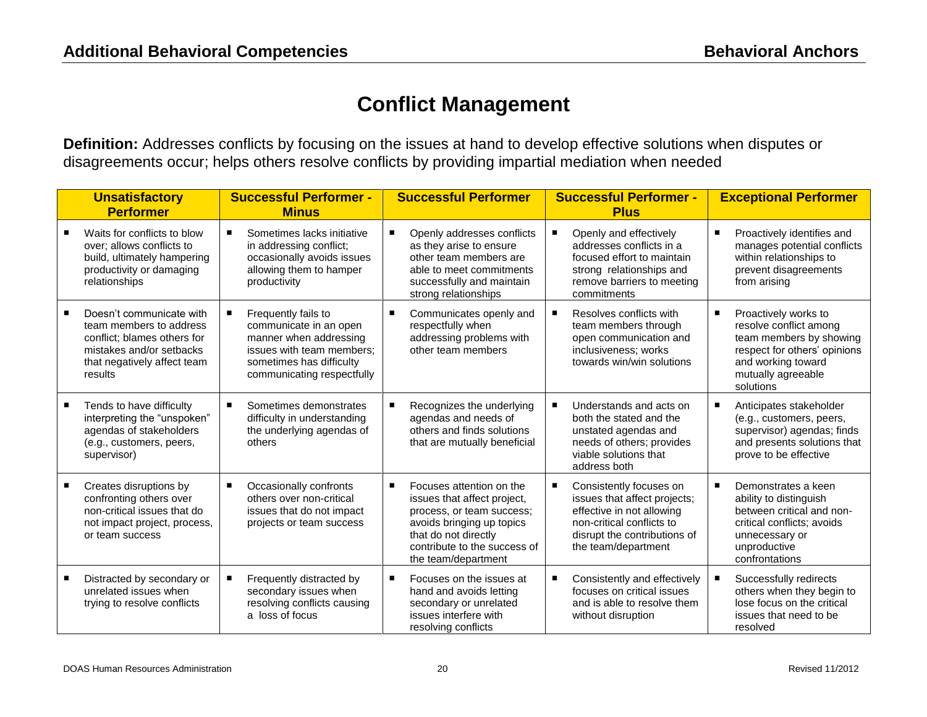## **Conflict Management**

**Definition:** Addresses conflicts by focusing on the issues at hand to develop effective solutions when disputes or disagreements occur; helps others resolve conflicts by providing impartial mediation when needed

|   | <b>Unsatisfactory</b><br><b>Performer</b>                                                                                                                | <b>Successful Performer -</b><br><b>Minus</b>                                                                                                                  | <b>Successful Performer</b>                                                                                                                                                                           | <b>Successful Performer -</b><br><b>Plus</b>                                                                                                                             | <b>Exceptional Performer</b>                                                                                                                                                   |
|---|----------------------------------------------------------------------------------------------------------------------------------------------------------|----------------------------------------------------------------------------------------------------------------------------------------------------------------|-------------------------------------------------------------------------------------------------------------------------------------------------------------------------------------------------------|--------------------------------------------------------------------------------------------------------------------------------------------------------------------------|--------------------------------------------------------------------------------------------------------------------------------------------------------------------------------|
|   | Waits for conflicts to blow<br>over: allows conflicts to<br>build, ultimately hampering<br>productivity or damaging<br>relationships                     | Sometimes lacks initiative<br>■<br>in addressing conflict;<br>occasionally avoids issues<br>allowing them to hamper<br>productivity                            | Openly addresses conflicts<br>as they arise to ensure<br>other team members are<br>able to meet commitments<br>successfully and maintain<br>strong relationships                                      | Openly and effectively<br>addresses conflicts in a<br>focused effort to maintain<br>strong relationships and<br>remove barriers to meeting<br>commitments                | Proactively identifies and<br>П<br>manages potential conflicts<br>within relationships to<br>prevent disagreements<br>from arising                                             |
|   | Doesn't communicate with<br>team members to address<br>conflict; blames others for<br>mistakes and/or setbacks<br>that negatively affect team<br>results | Frequently fails to<br>communicate in an open<br>manner when addressing<br>issues with team members;<br>sometimes has difficulty<br>communicating respectfully | Communicates openly and<br>п<br>respectfully when<br>addressing problems with<br>other team members                                                                                                   | Resolves conflicts with<br>team members through<br>open communication and<br>inclusiveness; works<br>towards win/win solutions                                           | Proactively works to<br>п<br>resolve conflict among<br>team members by showing<br>respect for others' opinions<br>and working toward<br>mutually agreeable<br>solutions        |
| ٠ | Tends to have difficulty<br>interpreting the "unspoken"<br>agendas of stakeholders<br>(e.g., customers, peers,<br>supervisor)                            | Sometimes demonstrates<br>difficulty in understanding<br>the underlying agendas of<br>others                                                                   | Recognizes the underlying<br>agendas and needs of<br>others and finds solutions<br>that are mutually beneficial                                                                                       | Understands and acts on<br>both the stated and the<br>unstated agendas and<br>needs of others; provides<br>viable solutions that<br>address both                         | Anticipates stakeholder<br>п<br>(e.g., customers, peers,<br>supervisor) agendas; finds<br>and presents solutions that<br>prove to be effective                                 |
|   | Creates disruptions by<br>confronting others over<br>non-critical issues that do<br>not impact project, process,<br>or team success                      | Occasionally confronts<br>٠<br>others over non-critical<br>issues that do not impact<br>projects or team success                                               | Focuses attention on the<br>п<br>issues that affect project,<br>process, or team success;<br>avoids bringing up topics<br>that do not directly<br>contribute to the success of<br>the team/department | Consistently focuses on<br>issues that affect projects;<br>effective in not allowing<br>non-critical conflicts to<br>disrupt the contributions of<br>the team/department | $\blacksquare$<br>Demonstrates a keen<br>ability to distinguish<br>between critical and non-<br>critical conflicts; avoids<br>unnecessary or<br>unproductive<br>confrontations |
| ٠ | Distracted by secondary or<br>unrelated issues when<br>trying to resolve conflicts                                                                       | Frequently distracted by<br>secondary issues when<br>resolving conflicts causing<br>a loss of focus                                                            | Focuses on the issues at<br>hand and avoids letting<br>secondary or unrelated<br>issues interfere with<br>resolving conflicts                                                                         | Consistently and effectively<br>focuses on critical issues<br>and is able to resolve them<br>without disruption                                                          | Successfully redirects<br>others when they begin to<br>lose focus on the critical<br>issues that need to be<br>resolved                                                        |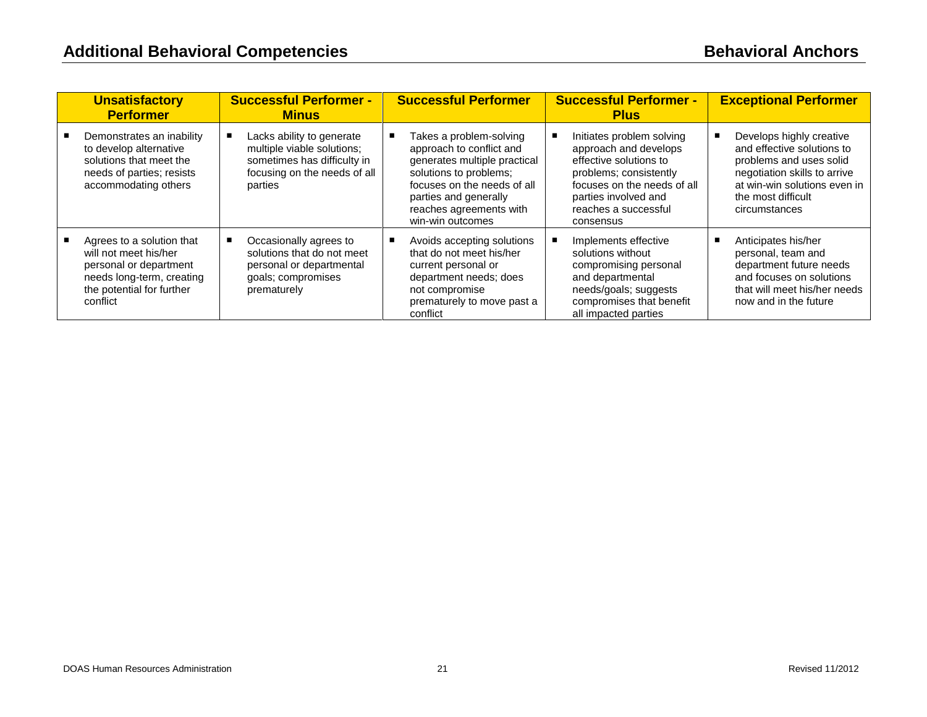| <b>Unsatisfactory</b><br><b>Performer</b>                                                                                                          | <b>Successful Performer -</b><br><b>Minus</b>                                                                                     | <b>Successful Performer</b>                                                                                                                                                                                          | <b>Successful Performer -</b><br><b>Plus</b>                                                                                                                                                       | <b>Exceptional Performer</b>                                                                                                                                                             |
|----------------------------------------------------------------------------------------------------------------------------------------------------|-----------------------------------------------------------------------------------------------------------------------------------|----------------------------------------------------------------------------------------------------------------------------------------------------------------------------------------------------------------------|----------------------------------------------------------------------------------------------------------------------------------------------------------------------------------------------------|------------------------------------------------------------------------------------------------------------------------------------------------------------------------------------------|
| Demonstrates an inability<br>to develop alternative<br>solutions that meet the<br>needs of parties; resists<br>accommodating others                | Lacks ability to generate<br>multiple viable solutions;<br>sometimes has difficulty in<br>focusing on the needs of all<br>parties | Takes a problem-solving<br>approach to conflict and<br>generates multiple practical<br>solutions to problems;<br>focuses on the needs of all<br>parties and generally<br>reaches agreements with<br>win-win outcomes | Initiates problem solving<br>approach and develops<br>effective solutions to<br>problems; consistently<br>focuses on the needs of all<br>parties involved and<br>reaches a successful<br>consensus | Develops highly creative<br>and effective solutions to<br>problems and uses solid<br>negotiation skills to arrive<br>at win-win solutions even in<br>the most difficult<br>circumstances |
| Agrees to a solution that<br>will not meet his/her<br>personal or department<br>needs long-term, creating<br>the potential for further<br>conflict | Occasionally agrees to<br>solutions that do not meet<br>personal or departmental<br>goals; compromises<br>prematurely             | Avoids accepting solutions<br>that do not meet his/her<br>current personal or<br>department needs; does<br>not compromise<br>prematurely to move past a<br>conflict                                                  | Implements effective<br>solutions without<br>compromising personal<br>and departmental<br>needs/goals; suggests<br>compromises that benefit<br>all impacted parties                                | Anticipates his/her<br>personal, team and<br>department future needs<br>and focuses on solutions<br>that will meet his/her needs<br>now and in the future                                |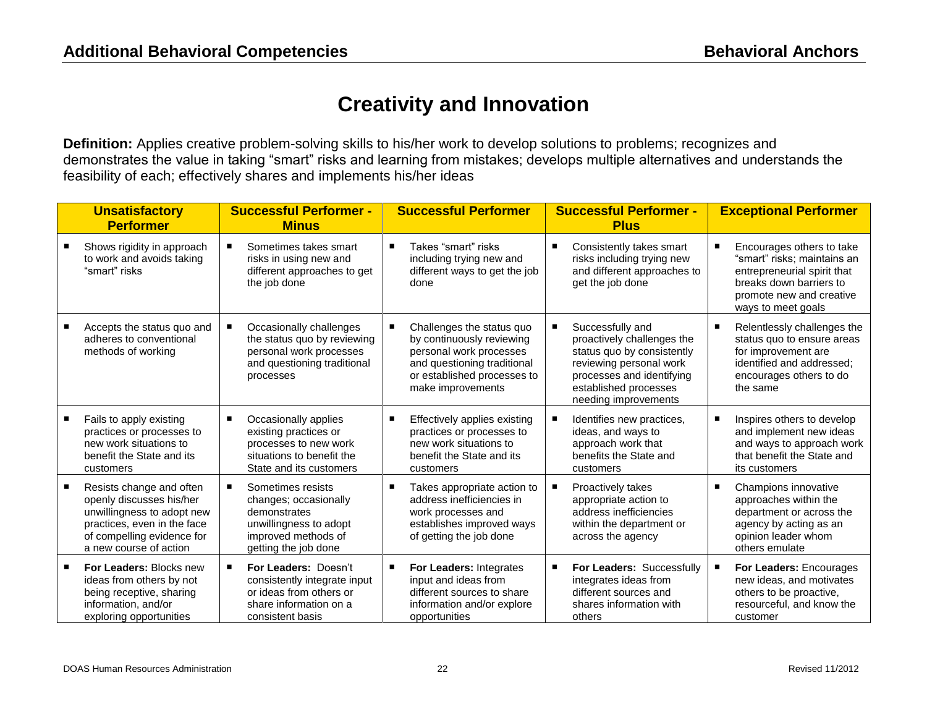## **Creativity and Innovation**

**Definition:** Applies creative problem-solving skills to his/her work to develop solutions to problems; recognizes and demonstrates the value in taking "smart" risks and learning from mistakes; develops multiple alternatives and understands the feasibility of each; effectively shares and implements his/her ideas

| <b>Unsatisfactory</b><br><b>Performer</b>                                                                                                                                 | <b>Successful Performer -</b><br><b>Minus</b>                                                                                        |                | <b>Successful Performer</b>                                                                                                                                          | <b>Successful Performer -</b><br><b>Plus</b>                                                                                                                                          |   | <b>Exceptional Performer</b>                                                                                                                                         |
|---------------------------------------------------------------------------------------------------------------------------------------------------------------------------|--------------------------------------------------------------------------------------------------------------------------------------|----------------|----------------------------------------------------------------------------------------------------------------------------------------------------------------------|---------------------------------------------------------------------------------------------------------------------------------------------------------------------------------------|---|----------------------------------------------------------------------------------------------------------------------------------------------------------------------|
| Shows rigidity in approach<br>to work and avoids taking<br>"smart" risks                                                                                                  | Sometimes takes smart<br>risks in using new and<br>different approaches to get<br>the job done                                       | $\blacksquare$ | Takes "smart" risks<br>including trying new and<br>different ways to get the job<br>done                                                                             | Consistently takes smart<br>risks including trying new<br>and different approaches to<br>get the job done                                                                             | г | Encourages others to take<br>"smart" risks: maintains an<br>entrepreneurial spirit that<br>breaks down barriers to<br>promote new and creative<br>ways to meet goals |
| Accepts the status quo and<br>adheres to conventional<br>methods of working                                                                                               | Occasionally challenges<br>the status quo by reviewing<br>personal work processes<br>and questioning traditional<br>processes        | $\blacksquare$ | Challenges the status quo<br>by continuously reviewing<br>personal work processes<br>and questioning traditional<br>or established processes to<br>make improvements | Successfully and<br>proactively challenges the<br>status quo by consistently<br>reviewing personal work<br>processes and identifying<br>established processes<br>needing improvements | г | Relentlessly challenges the<br>status quo to ensure areas<br>for improvement are<br>identified and addressed;<br>encourages others to do<br>the same                 |
| Fails to apply existing<br>practices or processes to<br>new work situations to<br>benefit the State and its<br>customers                                                  | Occasionally applies<br>٠<br>existing practices or<br>processes to new work<br>situations to benefit the<br>State and its customers  | $\blacksquare$ | Effectively applies existing<br>practices or processes to<br>new work situations to<br>benefit the State and its<br>customers                                        | Identifies new practices,<br>ideas, and ways to<br>approach work that<br>benefits the State and<br>customers                                                                          | п | Inspires others to develop<br>and implement new ideas<br>and ways to approach work<br>that benefit the State and<br>its customers                                    |
| Resists change and often<br>openly discusses his/her<br>unwillingness to adopt new<br>practices, even in the face<br>of compelling evidence for<br>a new course of action | Sometimes resists<br>changes; occasionally<br>demonstrates<br>unwillingness to adopt<br>improved methods of<br>getting the job done  | $\blacksquare$ | Takes appropriate action to<br>address inefficiencies in<br>work processes and<br>establishes improved ways<br>of getting the job done                               | Proactively takes<br>appropriate action to<br>address inefficiencies<br>within the department or<br>across the agency                                                                 | в | Champions innovative<br>approaches within the<br>department or across the<br>agency by acting as an<br>opinion leader whom<br>others emulate                         |
| For Leaders: Blocks new<br>ideas from others by not<br>being receptive, sharing<br>information, and/or<br>exploring opportunities                                         | <b>For Leaders: Doesn't</b><br>consistently integrate input<br>or ideas from others or<br>share information on a<br>consistent basis | $\blacksquare$ | For Leaders: Integrates<br>input and ideas from<br>different sources to share<br>information and/or explore<br>opportunities                                         | For Leaders: Successfully<br>integrates ideas from<br>different sources and<br>shares information with<br>others                                                                      |   | For Leaders: Encourages<br>new ideas, and motivates<br>others to be proactive,<br>resourceful, and know the<br>customer                                              |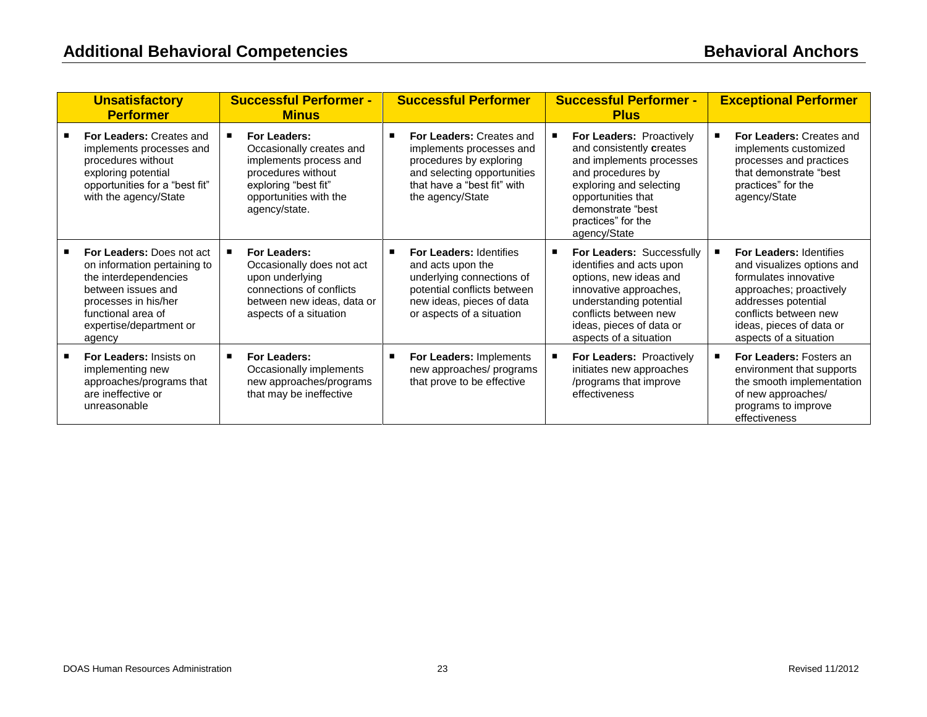| <b>Unsatisfactory</b><br><b>Performer</b>                                                                                                                                                          | <b>Successful Performer -</b><br><b>Minus</b>                                                                                                               | <b>Successful Performer</b>                                                                                                                                               |   | <b>Successful Performer -</b><br><b>Plus</b>                                                                                                                                                                        | <b>Exceptional Performer</b>                                                                                                                                                                                           |
|----------------------------------------------------------------------------------------------------------------------------------------------------------------------------------------------------|-------------------------------------------------------------------------------------------------------------------------------------------------------------|---------------------------------------------------------------------------------------------------------------------------------------------------------------------------|---|---------------------------------------------------------------------------------------------------------------------------------------------------------------------------------------------------------------------|------------------------------------------------------------------------------------------------------------------------------------------------------------------------------------------------------------------------|
| For Leaders: Creates and<br>implements processes and<br>procedures without<br>exploring potential<br>opportunities for a "best fit"<br>with the agency/State                                       | For Leaders:<br>Occasionally creates and<br>implements process and<br>procedures without<br>exploring "best fit"<br>opportunities with the<br>agency/state. | For Leaders: Creates and<br>implements processes and<br>procedures by exploring<br>and selecting opportunities<br>that have a "best fit" with<br>the agency/State         |   | For Leaders: Proactively<br>and consistently creates<br>and implements processes<br>and procedures by<br>exploring and selecting<br>opportunities that<br>demonstrate "best<br>practices" for the<br>agency/State   | For Leaders: Creates and<br>implements customized<br>processes and practices<br>that demonstrate "best<br>practices" for the<br>agency/State                                                                           |
| <b>For Leaders: Does not act</b><br>on information pertaining to<br>the interdependencies<br>between issues and<br>processes in his/her<br>functional area of<br>expertise/department or<br>agency | For Leaders:<br>Occasionally does not act<br>upon underlying<br>connections of conflicts<br>between new ideas, data or<br>aspects of a situation            | <b>For Leaders: Identifies</b><br>and acts upon the<br>underlying connections of<br>potential conflicts between<br>new ideas, pieces of data<br>or aspects of a situation | п | For Leaders: Successfully<br>identifies and acts upon<br>options, new ideas and<br>innovative approaches,<br>understanding potential<br>conflicts between new<br>ideas, pieces of data or<br>aspects of a situation | <b>For Leaders: Identifies</b><br>and visualizes options and<br>formulates innovative<br>approaches; proactively<br>addresses potential<br>conflicts between new<br>ideas, pieces of data or<br>aspects of a situation |
| <b>For Leaders: Insists on</b><br>implementing new<br>approaches/programs that<br>are ineffective or<br>unreasonable                                                                               | For Leaders:<br>Occasionally implements<br>new approaches/programs<br>that may be ineffective                                                               | For Leaders: Implements<br>new approaches/ programs<br>that prove to be effective                                                                                         |   | For Leaders: Proactively<br>initiates new approaches<br>/programs that improve<br>effectiveness                                                                                                                     | <b>For Leaders: Fosters an</b><br>environment that supports<br>the smooth implementation<br>of new approaches/<br>programs to improve<br>effectiveness                                                                 |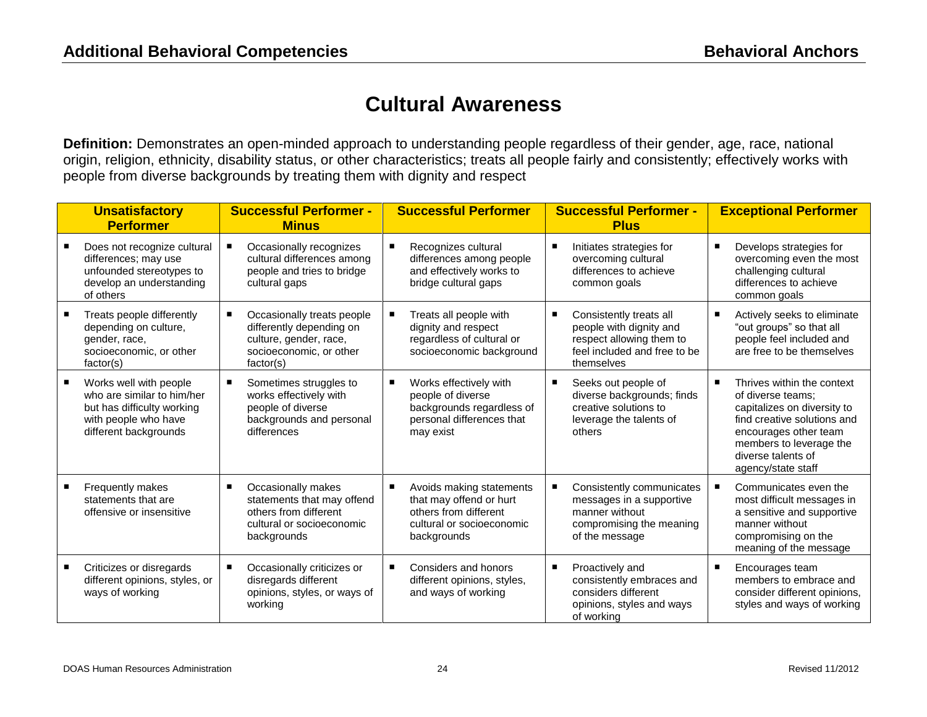## **Cultural Awareness**

**Definition:** Demonstrates an open-minded approach to understanding people regardless of their gender, age, race, national origin, religion, ethnicity, disability status, or other characteristics; treats all people fairly and consistently; effectively works with people from diverse backgrounds by treating them with dignity and respect

| <b>Unsatisfactory</b><br><b>Performer</b>                                                                                           | <b>Successful Performer -</b><br><b>Minus</b>                                                                                 |   | <b>Successful Performer</b>                                                                                              | <b>Successful Performer -</b><br><b>Plus</b>                                                                                 |   | <b>Exceptional Performer</b>                                                                                                                                                                                  |
|-------------------------------------------------------------------------------------------------------------------------------------|-------------------------------------------------------------------------------------------------------------------------------|---|--------------------------------------------------------------------------------------------------------------------------|------------------------------------------------------------------------------------------------------------------------------|---|---------------------------------------------------------------------------------------------------------------------------------------------------------------------------------------------------------------|
| Does not recognize cultural<br>differences; may use<br>unfounded stereotypes to<br>develop an understanding<br>of others            | Occasionally recognizes<br>cultural differences among<br>people and tries to bridge<br>cultural gaps                          |   | Recognizes cultural<br>differences among people<br>and effectively works to<br>bridge cultural gaps                      | Initiates strategies for<br>overcoming cultural<br>differences to achieve<br>common goals                                    | П | Develops strategies for<br>overcoming even the most<br>challenging cultural<br>differences to achieve<br>common goals                                                                                         |
| Treats people differently<br>depending on culture,<br>gender, race,<br>socioeconomic, or other<br>factor(s)                         | Occasionally treats people<br>п<br>differently depending on<br>culture, gender, race,<br>socioeconomic, or other<br>factor(s) |   | Treats all people with<br>dignity and respect<br>regardless of cultural or<br>socioeconomic background                   | Consistently treats all<br>people with dignity and<br>respect allowing them to<br>feel included and free to be<br>themselves | п | Actively seeks to eliminate<br>"out groups" so that all<br>people feel included and<br>are free to be themselves                                                                                              |
| Works well with people<br>who are similar to him/her<br>but has difficulty working<br>with people who have<br>different backgrounds | Sometimes struggles to<br>works effectively with<br>people of diverse<br>backgrounds and personal<br>differences              | п | Works effectively with<br>people of diverse<br>backgrounds regardless of<br>personal differences that<br>may exist       | Seeks out people of<br>diverse backgrounds; finds<br>creative solutions to<br>leverage the talents of<br>others              | п | Thrives within the context<br>of diverse teams:<br>capitalizes on diversity to<br>find creative solutions and<br>encourages other team<br>members to leverage the<br>diverse talents of<br>agency/state staff |
| Frequently makes<br>statements that are<br>offensive or insensitive                                                                 | Occasionally makes<br>٠<br>statements that may offend<br>others from different<br>cultural or socioeconomic<br>backgrounds    | п | Avoids making statements<br>that may offend or hurt<br>others from different<br>cultural or socioeconomic<br>backgrounds | Consistently communicates<br>messages in a supportive<br>manner without<br>compromising the meaning<br>of the message        |   | Communicates even the<br>most difficult messages in<br>a sensitive and supportive<br>manner without<br>compromising on the<br>meaning of the message                                                          |
| Criticizes or disregards<br>different opinions, styles, or<br>ways of working                                                       | Occasionally criticizes or<br>disregards different<br>opinions, styles, or ways of<br>working                                 |   | Considers and honors<br>different opinions, styles,<br>and ways of working                                               | Proactively and<br>consistently embraces and<br>considers different<br>opinions, styles and ways<br>of working               |   | Encourages team<br>members to embrace and<br>consider different opinions,<br>styles and ways of working                                                                                                       |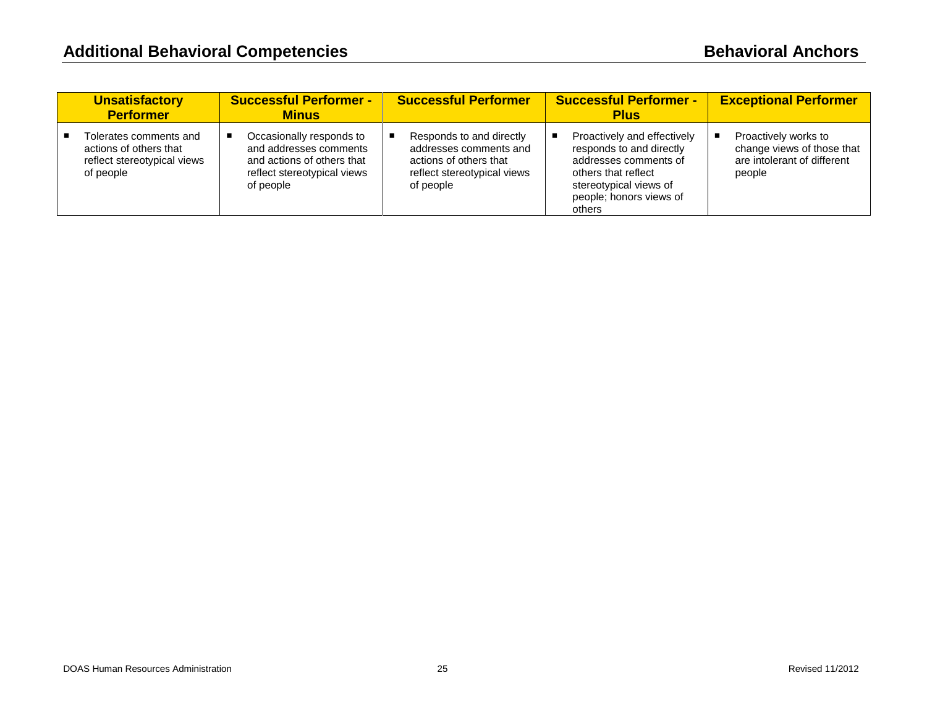| <b>Unsatisfactory</b><br><b>Performer</b>                                                    | <b>Successful Performer -</b><br><b>Minus</b>                                                                                | <b>Successful Performer</b>                                                                                              | <b>Successful Performer -</b><br><b>Plus</b>                                                                                                                           | <b>Exceptional Performer</b>                                                                |
|----------------------------------------------------------------------------------------------|------------------------------------------------------------------------------------------------------------------------------|--------------------------------------------------------------------------------------------------------------------------|------------------------------------------------------------------------------------------------------------------------------------------------------------------------|---------------------------------------------------------------------------------------------|
| Tolerates comments and<br>actions of others that<br>reflect stereotypical views<br>of people | Occasionally responds to<br>and addresses comments<br>and actions of others that<br>reflect stereotypical views<br>of people | Responds to and directly<br>addresses comments and<br>actions of others that<br>reflect stereotypical views<br>of people | Proactively and effectively<br>responds to and directly<br>addresses comments of<br>others that reflect<br>stereotypical views of<br>people; honors views of<br>others | Proactively works to<br>change views of those that<br>are intolerant of different<br>people |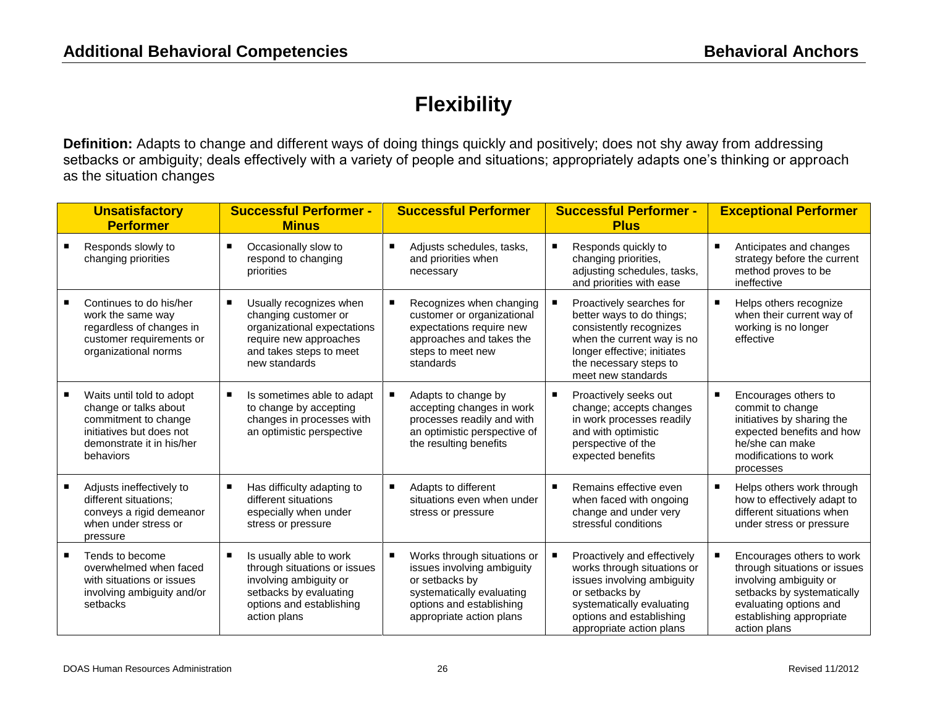## **Flexibility**

**Definition:** Adapts to change and different ways of doing things quickly and positively; does not shy away from addressing setbacks or ambiguity; deals effectively with a variety of people and situations; appropriately adapts one's thinking or approach as the situation changes

| <b>Unsatisfactory</b><br><b>Performer</b>                                                                                                        | <b>Successful Performer -</b><br><b>Minus</b>                                                                                                           |                | <b>Successful Performer</b>                                                                                                                                      | <b>Successful Performer -</b><br><b>Plus</b>                                                                                                                                                    |   | <b>Exceptional Performer</b>                                                                                                                                                            |
|--------------------------------------------------------------------------------------------------------------------------------------------------|---------------------------------------------------------------------------------------------------------------------------------------------------------|----------------|------------------------------------------------------------------------------------------------------------------------------------------------------------------|-------------------------------------------------------------------------------------------------------------------------------------------------------------------------------------------------|---|-----------------------------------------------------------------------------------------------------------------------------------------------------------------------------------------|
| Responds slowly to<br>changing priorities                                                                                                        | Occasionally slow to<br>respond to changing<br>priorities                                                                                               | п              | Adjusts schedules, tasks,<br>and priorities when<br>necessary                                                                                                    | Responds quickly to<br>changing priorities,<br>adjusting schedules, tasks,<br>and priorities with ease                                                                                          | п | Anticipates and changes<br>strategy before the current<br>method proves to be<br>ineffective                                                                                            |
| Continues to do his/her<br>work the same way<br>regardless of changes in<br>customer requirements or<br>organizational norms                     | Usually recognizes when<br>changing customer or<br>organizational expectations<br>require new approaches<br>and takes steps to meet<br>new standards    |                | Recognizes when changing<br>customer or organizational<br>expectations require new<br>approaches and takes the<br>steps to meet new<br>standards                 | Proactively searches for<br>better ways to do things;<br>consistently recognizes<br>when the current way is no<br>longer effective; initiates<br>the necessary steps to<br>meet new standards   | п | Helps others recognize<br>when their current way of<br>working is no longer<br>effective                                                                                                |
| Waits until told to adopt<br>change or talks about<br>commitment to change<br>initiatives but does not<br>demonstrate it in his/her<br>behaviors | Is sometimes able to adapt<br>to change by accepting<br>changes in processes with<br>an optimistic perspective                                          |                | Adapts to change by<br>accepting changes in work<br>processes readily and with<br>an optimistic perspective of<br>the resulting benefits                         | Proactively seeks out<br>change; accepts changes<br>in work processes readily<br>and with optimistic<br>perspective of the<br>expected benefits                                                 | п | Encourages others to<br>commit to change<br>initiatives by sharing the<br>expected benefits and how<br>he/she can make<br>modifications to work<br>processes                            |
| Adjusts ineffectively to<br>different situations;<br>conveys a rigid demeanor<br>when under stress or<br>pressure                                | Has difficulty adapting to<br>different situations<br>especially when under<br>stress or pressure                                                       | $\blacksquare$ | Adapts to different<br>situations even when under<br>stress or pressure                                                                                          | Remains effective even<br>when faced with ongoing<br>change and under very<br>stressful conditions                                                                                              | п | Helps others work through<br>how to effectively adapt to<br>different situations when<br>under stress or pressure                                                                       |
| Tends to become<br>overwhelmed when faced<br>with situations or issues<br>involving ambiguity and/or<br>setbacks                                 | Is usually able to work<br>through situations or issues<br>involving ambiguity or<br>setbacks by evaluating<br>options and establishing<br>action plans |                | Works through situations or<br>issues involving ambiguity<br>or setbacks by<br>systematically evaluating<br>options and establishing<br>appropriate action plans | Proactively and effectively<br>works through situations or<br>issues involving ambiguity<br>or setbacks by<br>systematically evaluating<br>options and establishing<br>appropriate action plans | п | Encourages others to work<br>through situations or issues<br>involving ambiguity or<br>setbacks by systematically<br>evaluating options and<br>establishing appropriate<br>action plans |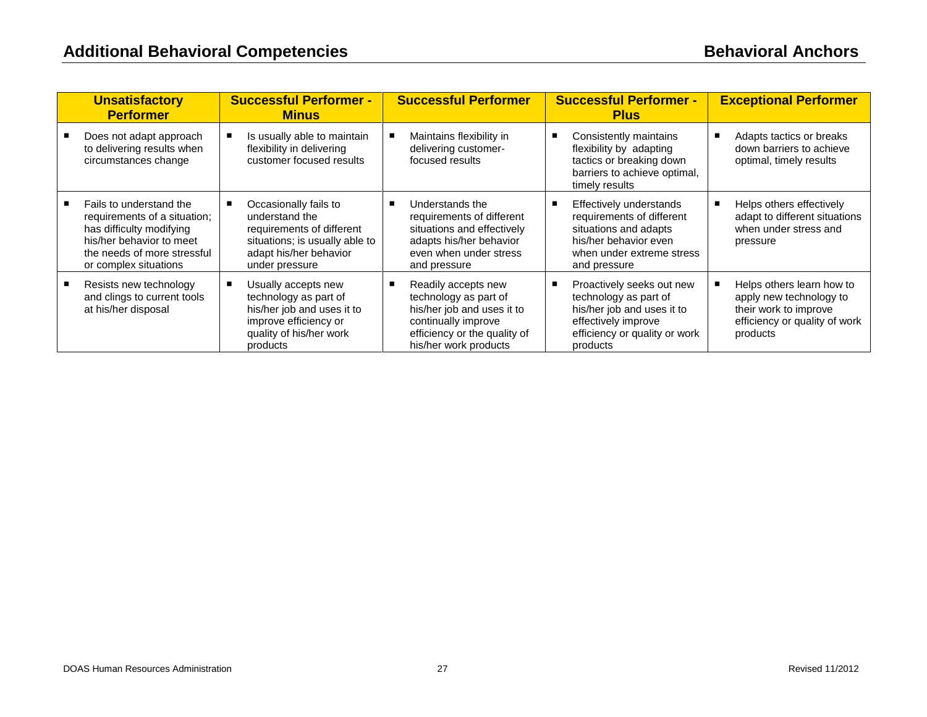| <b>Unsatisfactory</b><br><b>Performer</b>                                                                                                                               | <b>Successful Performer -</b><br><b>Minus</b>                                                                                                      | <b>Successful Performer</b>                                                                                                                                | <b>Successful Performer -</b><br><b>Plus</b>                                                                                                         |   | <b>Exceptional Performer</b>                                                                                               |
|-------------------------------------------------------------------------------------------------------------------------------------------------------------------------|----------------------------------------------------------------------------------------------------------------------------------------------------|------------------------------------------------------------------------------------------------------------------------------------------------------------|------------------------------------------------------------------------------------------------------------------------------------------------------|---|----------------------------------------------------------------------------------------------------------------------------|
| Does not adapt approach<br>to delivering results when<br>circumstances change                                                                                           | Is usually able to maintain<br>flexibility in delivering<br>customer focused results                                                               | Maintains flexibility in<br>delivering customer-<br>focused results                                                                                        | Consistently maintains<br>flexibility by adapting<br>tactics or breaking down<br>barriers to achieve optimal,<br>timely results                      | п | Adapts tactics or breaks<br>down barriers to achieve<br>optimal, timely results                                            |
| Fails to understand the<br>requirements of a situation;<br>has difficulty modifying<br>his/her behavior to meet<br>the needs of more stressful<br>or complex situations | Occasionally fails to<br>understand the<br>requirements of different<br>situations; is usually able to<br>adapt his/her behavior<br>under pressure | Understands the<br>requirements of different<br>situations and effectively<br>adapts his/her behavior<br>even when under stress<br>and pressure            | Effectively understands<br>requirements of different<br>situations and adapts<br>his/her behavior even<br>when under extreme stress<br>and pressure  |   | Helps others effectively<br>adapt to different situations<br>when under stress and<br>pressure                             |
| Resists new technology<br>and clings to current tools<br>at his/her disposal                                                                                            | Usually accepts new<br>technology as part of<br>his/her job and uses it to<br>improve efficiency or<br>quality of his/her work<br>products         | Readily accepts new<br>technology as part of<br>his/her job and uses it to<br>continually improve<br>efficiency or the quality of<br>his/her work products | Proactively seeks out new<br>technology as part of<br>his/her job and uses it to<br>effectively improve<br>efficiency or quality or work<br>products |   | Helps others learn how to<br>apply new technology to<br>their work to improve<br>efficiency or quality of work<br>products |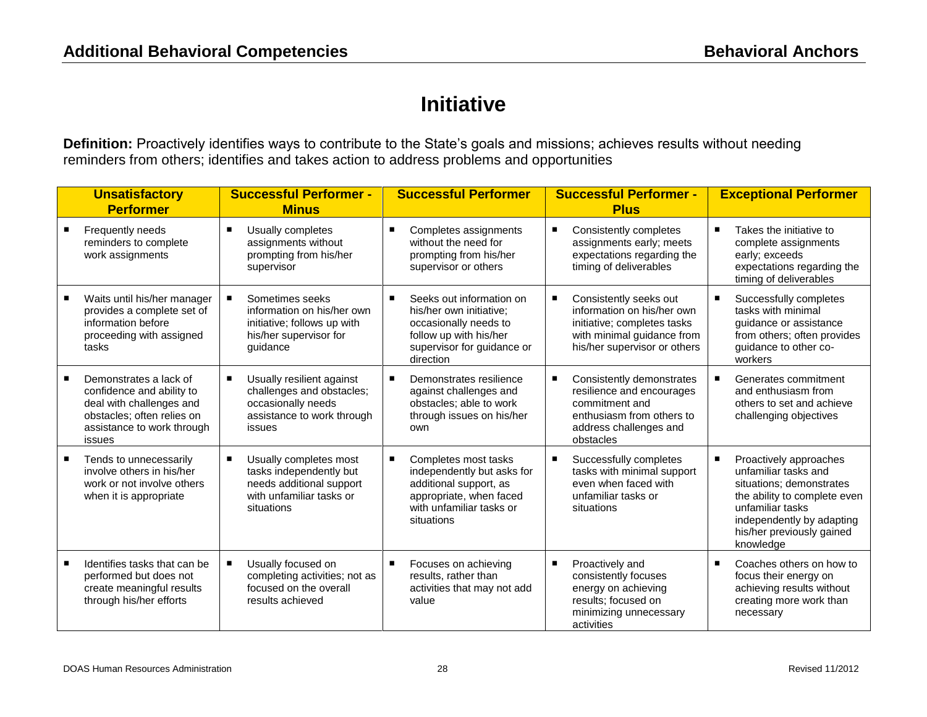## **Initiative**

**Definition:** Proactively identifies ways to contribute to the State's goals and missions; achieves results without needing reminders from others; identifies and takes action to address problems and opportunities

|   | <b>Unsatisfactory</b><br><b>Performer</b>                                                                                                             | <b>Successful Performer -</b><br><b>Minus</b>                                                                           | <b>Successful Performer</b>                                                                                                                       | <b>Successful Performer -</b><br><b>Plus</b>                                                                                                      | <b>Exceptional Performer</b>                                                                                                                                                                               |
|---|-------------------------------------------------------------------------------------------------------------------------------------------------------|-------------------------------------------------------------------------------------------------------------------------|---------------------------------------------------------------------------------------------------------------------------------------------------|---------------------------------------------------------------------------------------------------------------------------------------------------|------------------------------------------------------------------------------------------------------------------------------------------------------------------------------------------------------------|
|   | Frequently needs<br>reminders to complete<br>work assignments                                                                                         | Usually completes<br>٠<br>assignments without<br>prompting from his/her<br>supervisor                                   | Completes assignments<br>without the need for<br>prompting from his/her<br>supervisor or others                                                   | Consistently completes<br>assignments early; meets<br>expectations regarding the<br>timing of deliverables                                        | Takes the initiative to<br>п<br>complete assignments<br>early; exceeds<br>expectations regarding the<br>timing of deliverables                                                                             |
|   | Waits until his/her manager<br>provides a complete set of<br>information before<br>proceeding with assigned<br>tasks                                  | Sometimes seeks<br>information on his/her own<br>initiative; follows up with<br>his/her supervisor for<br>quidance      | Seeks out information on<br>his/her own initiative:<br>occasionally needs to<br>follow up with his/her<br>supervisor for guidance or<br>direction | Consistently seeks out<br>information on his/her own<br>initiative; completes tasks<br>with minimal guidance from<br>his/her supervisor or others | Successfully completes<br>tasks with minimal<br>quidance or assistance<br>from others; often provides<br>guidance to other co-<br>workers                                                                  |
| п | Demonstrates a lack of<br>confidence and ability to<br>deal with challenges and<br>obstacles; often relies on<br>assistance to work through<br>issues | Usually resilient against<br>challenges and obstacles;<br>occasionally needs<br>assistance to work through<br>issues    | Demonstrates resilience<br>against challenges and<br>obstacles; able to work<br>through issues on his/her<br>own                                  | Consistently demonstrates<br>resilience and encourages<br>commitment and<br>enthusiasm from others to<br>address challenges and<br>obstacles      | Generates commitment<br>and enthusiasm from<br>others to set and achieve<br>challenging objectives                                                                                                         |
|   | Tends to unnecessarily<br>involve others in his/her<br>work or not involve others<br>when it is appropriate                                           | Usually completes most<br>tasks independently but<br>needs additional support<br>with unfamiliar tasks or<br>situations | Completes most tasks<br>independently but asks for<br>additional support, as<br>appropriate, when faced<br>with unfamiliar tasks or<br>situations | Successfully completes<br>٠<br>tasks with minimal support<br>even when faced with<br>unfamiliar tasks or<br>situations                            | Proactively approaches<br>п<br>unfamiliar tasks and<br>situations; demonstrates<br>the ability to complete even<br>unfamiliar tasks<br>independently by adapting<br>his/her previously gained<br>knowledge |
|   | Identifies tasks that can be<br>performed but does not<br>create meaningful results<br>through his/her efforts                                        | Usually focused on<br>completing activities; not as<br>focused on the overall<br>results achieved                       | Focuses on achieving<br>results, rather than<br>activities that may not add<br>value                                                              | Proactively and<br>٠<br>consistently focuses<br>energy on achieving<br>results; focused on<br>minimizing unnecessary<br>activities                | Coaches others on how to<br>п<br>focus their energy on<br>achieving results without<br>creating more work than<br>necessary                                                                                |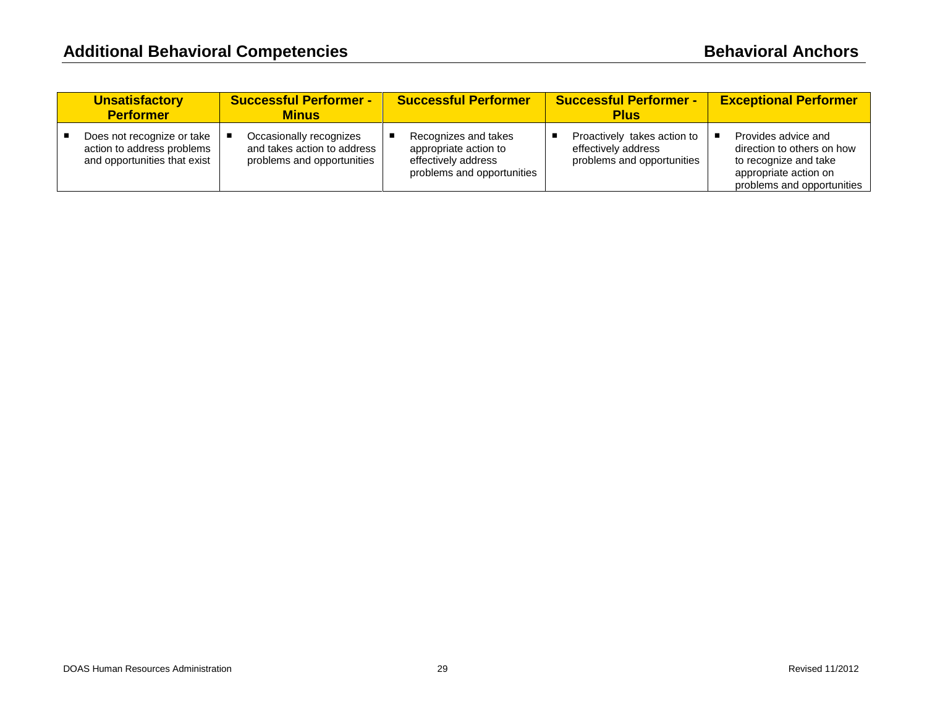| <b>Unsatisfactory</b><br><b>Performer</b>                                                | <b>Successful Performer -</b><br><b>Minus</b>                                        | <b>Successful Performer</b>                                                                        | <b>Successful Performer -</b><br><b>Plus</b>                                     | <b>Exceptional Performer</b>                                                                                                      |
|------------------------------------------------------------------------------------------|--------------------------------------------------------------------------------------|----------------------------------------------------------------------------------------------------|----------------------------------------------------------------------------------|-----------------------------------------------------------------------------------------------------------------------------------|
| Does not recognize or take<br>action to address problems<br>and opportunities that exist | Occasionally recognizes<br>and takes action to address<br>problems and opportunities | Recognizes and takes<br>appropriate action to<br>effectively address<br>problems and opportunities | Proactively takes action to<br>effectively address<br>problems and opportunities | Provides advice and<br>direction to others on how<br>to recognize and take<br>appropriate action on<br>problems and opportunities |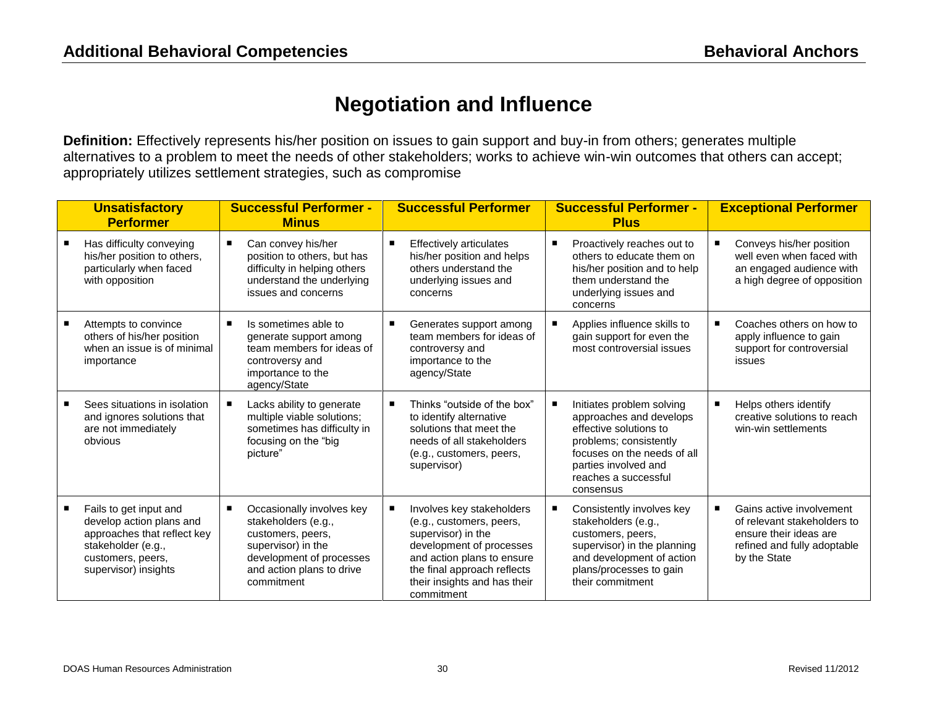#### **Negotiation and Influence**

**Definition:** Effectively represents his/her position on issues to gain support and buy-in from others; generates multiple alternatives to a problem to meet the needs of other stakeholders; works to achieve win-win outcomes that others can accept; appropriately utilizes settlement strategies, such as compromise

| <b>Unsatisfactory</b><br><b>Performer</b>                                                                                                            | <b>Successful Performer -</b><br><b>Minus</b>                                                                                                                      | <b>Successful Performer</b>                                                                                                                                                                                        | <b>Successful Performer -</b><br><b>Plus</b>                                                                                                                                                         | <b>Exceptional Performer</b>                                                                                                          |
|------------------------------------------------------------------------------------------------------------------------------------------------------|--------------------------------------------------------------------------------------------------------------------------------------------------------------------|--------------------------------------------------------------------------------------------------------------------------------------------------------------------------------------------------------------------|------------------------------------------------------------------------------------------------------------------------------------------------------------------------------------------------------|---------------------------------------------------------------------------------------------------------------------------------------|
| Has difficulty conveying<br>his/her position to others,<br>particularly when faced<br>with opposition                                                | Can convey his/her<br>position to others, but has<br>difficulty in helping others<br>understand the underlying<br>issues and concerns                              | <b>Effectively articulates</b><br>his/her position and helps<br>others understand the<br>underlying issues and<br>concerns                                                                                         | Proactively reaches out to<br>others to educate them on<br>his/her position and to help<br>them understand the<br>underlying issues and<br>concerns                                                  | Conveys his/her position<br>well even when faced with<br>an engaged audience with<br>a high degree of opposition                      |
| Attempts to convince<br>others of his/her position<br>when an issue is of minimal<br>importance                                                      | Is sometimes able to<br>generate support among<br>team members for ideas of<br>controversy and<br>importance to the<br>agency/State                                | Generates support among<br>team members for ideas of<br>controversy and<br>importance to the<br>agency/State                                                                                                       | Applies influence skills to<br>gain support for even the<br>most controversial issues                                                                                                                | Coaches others on how to<br>apply influence to gain<br>support for controversial<br>issues                                            |
| Sees situations in isolation<br>and ignores solutions that<br>are not immediately<br>obvious                                                         | Lacks ability to generate<br>multiple viable solutions;<br>sometimes has difficulty in<br>focusing on the "big<br>picture"                                         | Thinks "outside of the box"<br>п<br>to identify alternative<br>solutions that meet the<br>needs of all stakeholders<br>(e.g., customers, peers,<br>supervisor)                                                     | Initiates problem solving<br>approaches and develops<br>effective solutions to<br>problems; consistently<br>focuses on the needs of all<br>parties involved and<br>reaches a successful<br>consensus | Helps others identify<br>п<br>creative solutions to reach<br>win-win settlements                                                      |
| Fails to get input and<br>develop action plans and<br>approaches that reflect key<br>stakeholder (e.g.,<br>customers, peers,<br>supervisor) insights | Occasionally involves key<br>stakeholders (e.g.,<br>customers, peers,<br>supervisor) in the<br>development of processes<br>and action plans to drive<br>commitment | Involves key stakeholders<br>(e.g., customers, peers,<br>supervisor) in the<br>development of processes<br>and action plans to ensure<br>the final approach reflects<br>their insights and has their<br>commitment | Consistently involves key<br>stakeholders (e.g.,<br>customers, peers,<br>supervisor) in the planning<br>and development of action<br>plans/processes to gain<br>their commitment                     | Gains active involvement<br>г<br>of relevant stakeholders to<br>ensure their ideas are<br>refined and fully adoptable<br>by the State |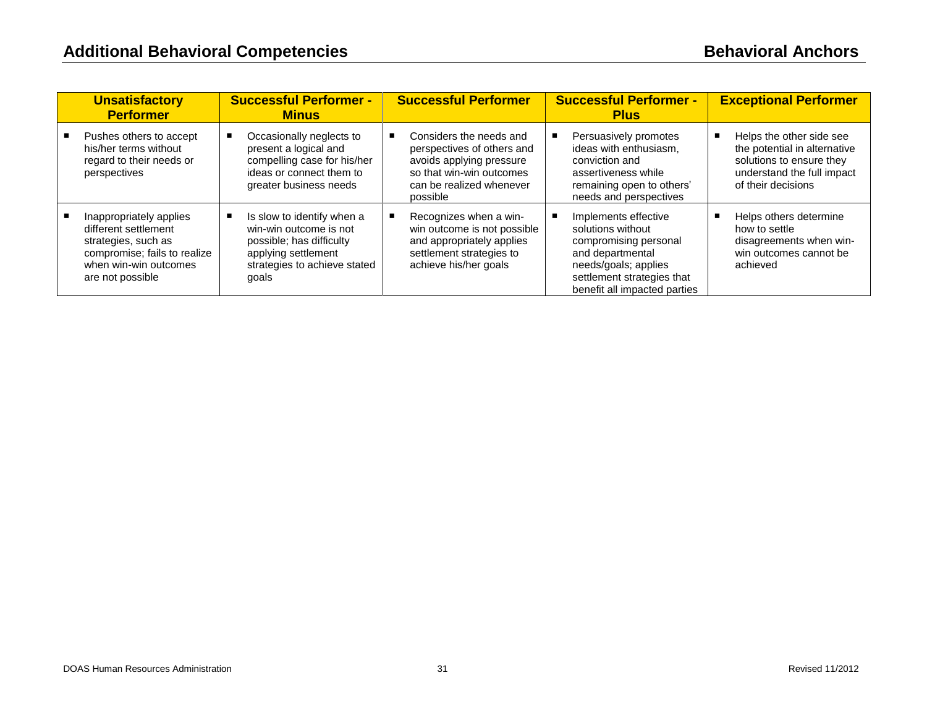| <b>Unsatisfactory</b><br><b>Performer</b>                                                                                                           | <b>Successful Performer -</b><br><b>Minus</b>                                                                                                    | <b>Successful Performer</b>                                                                                                                           | <b>Successful Performer -</b><br><b>Plus</b>                                                                                                                                 | <b>Exceptional Performer</b>                                                                                                                  |
|-----------------------------------------------------------------------------------------------------------------------------------------------------|--------------------------------------------------------------------------------------------------------------------------------------------------|-------------------------------------------------------------------------------------------------------------------------------------------------------|------------------------------------------------------------------------------------------------------------------------------------------------------------------------------|-----------------------------------------------------------------------------------------------------------------------------------------------|
| Pushes others to accept<br>his/her terms without<br>regard to their needs or<br>perspectives                                                        | Occasionally neglects to<br>present a logical and<br>compelling case for his/her<br>ideas or connect them to<br>greater business needs           | Considers the needs and<br>perspectives of others and<br>avoids applying pressure<br>so that win-win outcomes<br>can be realized whenever<br>possible | Persuasively promotes<br>ideas with enthusiasm.<br>conviction and<br>assertiveness while<br>remaining open to others'<br>needs and perspectives                              | Helps the other side see<br>п<br>the potential in alternative<br>solutions to ensure they<br>understand the full impact<br>of their decisions |
| Inappropriately applies<br>different settlement<br>strategies, such as<br>compromise; fails to realize<br>when win-win outcomes<br>are not possible | Is slow to identify when a<br>win-win outcome is not<br>possible; has difficulty<br>applying settlement<br>strategies to achieve stated<br>goals | Recognizes when a win-<br>win outcome is not possible<br>and appropriately applies<br>settlement strategies to<br>achieve his/her goals               | Implements effective<br>solutions without<br>compromising personal<br>and departmental<br>needs/goals; applies<br>settlement strategies that<br>benefit all impacted parties | Helps others determine<br>п<br>how to settle<br>disagreements when win-<br>win outcomes cannot be<br>achieved                                 |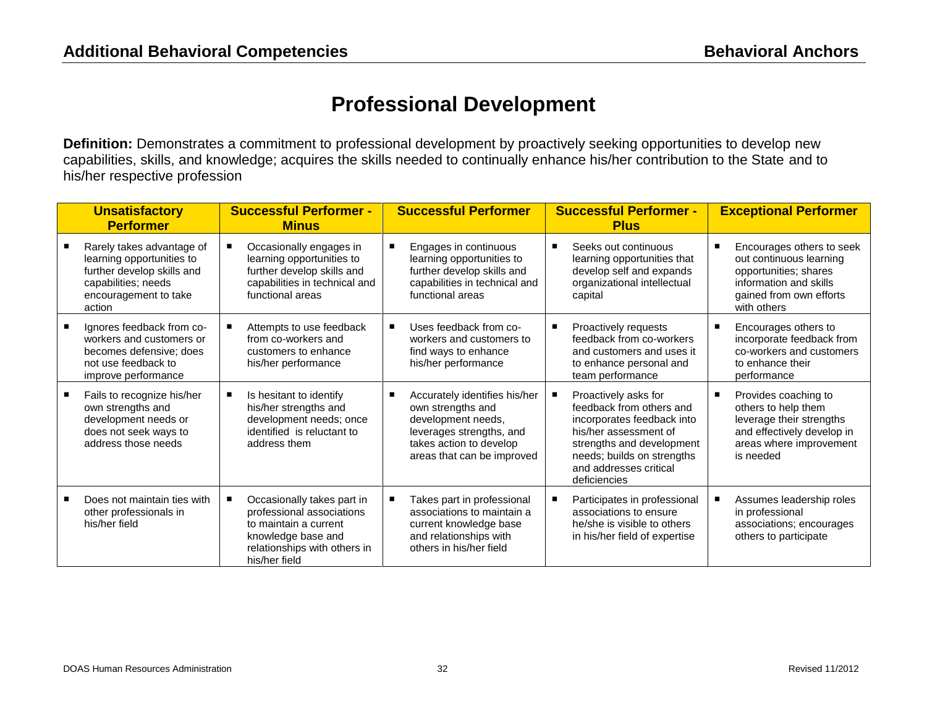#### **Professional Development**

**Definition:** Demonstrates a commitment to professional development by proactively seeking opportunities to develop new capabilities, skills, and knowledge; acquires the skills needed to continually enhance his/her contribution to the State and to his/her respective profession

| <b>Unsatisfactory</b><br><b>Performer</b>                                                                                                      | <b>Successful Performer -</b><br><b>Minus</b>                                                                                                           | <b>Successful Performer</b>                                                                                                                                   | <b>Successful Performer -</b><br><b>Plus</b>                                                                                                                                                                 |   | <b>Exceptional Performer</b>                                                                                                                      |
|------------------------------------------------------------------------------------------------------------------------------------------------|---------------------------------------------------------------------------------------------------------------------------------------------------------|---------------------------------------------------------------------------------------------------------------------------------------------------------------|--------------------------------------------------------------------------------------------------------------------------------------------------------------------------------------------------------------|---|---------------------------------------------------------------------------------------------------------------------------------------------------|
| Rarely takes advantage of<br>learning opportunities to<br>further develop skills and<br>capabilities; needs<br>encouragement to take<br>action | Occasionally engages in<br>learning opportunities to<br>further develop skills and<br>capabilities in technical and<br>functional areas                 | Engages in continuous<br>learning opportunities to<br>further develop skills and<br>capabilities in technical and<br>functional areas                         | Seeks out continuous<br>learning opportunities that<br>develop self and expands<br>organizational intellectual<br>capital                                                                                    | в | Encourages others to seek<br>out continuous learning<br>opportunities; shares<br>information and skills<br>gained from own efforts<br>with others |
| Ignores feedback from co-<br>workers and customers or<br>becomes defensive: does<br>not use feedback to<br>improve performance                 | Attempts to use feedback<br>from co-workers and<br>customers to enhance<br>his/her performance                                                          | Uses feedback from co-<br>workers and customers to<br>find ways to enhance<br>his/her performance                                                             | Proactively requests<br>feedback from co-workers<br>and customers and uses it<br>to enhance personal and<br>team performance                                                                                 | г | Encourages others to<br>incorporate feedback from<br>co-workers and customers<br>to enhance their<br>performance                                  |
| Fails to recognize his/her<br>own strengths and<br>development needs or<br>does not seek ways to<br>address those needs                        | Is hesitant to identify<br>his/her strengths and<br>development needs; once<br>identified is reluctant to<br>address them                               | Accurately identifies his/her<br>own strengths and<br>development needs,<br>leverages strengths, and<br>takes action to develop<br>areas that can be improved | Proactively asks for<br>feedback from others and<br>incorporates feedback into<br>his/her assessment of<br>strengths and development<br>needs; builds on strengths<br>and addresses critical<br>deficiencies | Е | Provides coaching to<br>others to help them<br>leverage their strengths<br>and effectively develop in<br>areas where improvement<br>is needed     |
| Does not maintain ties with<br>other professionals in<br>his/her field                                                                         | Occasionally takes part in<br>professional associations<br>to maintain a current<br>knowledge base and<br>relationships with others in<br>his/her field | Takes part in professional<br>associations to maintain a<br>current knowledge base<br>and relationships with<br>others in his/her field                       | Participates in professional<br>associations to ensure<br>he/she is visible to others<br>in his/her field of expertise                                                                                       |   | Assumes leadership roles<br>in professional<br>associations; encourages<br>others to participate                                                  |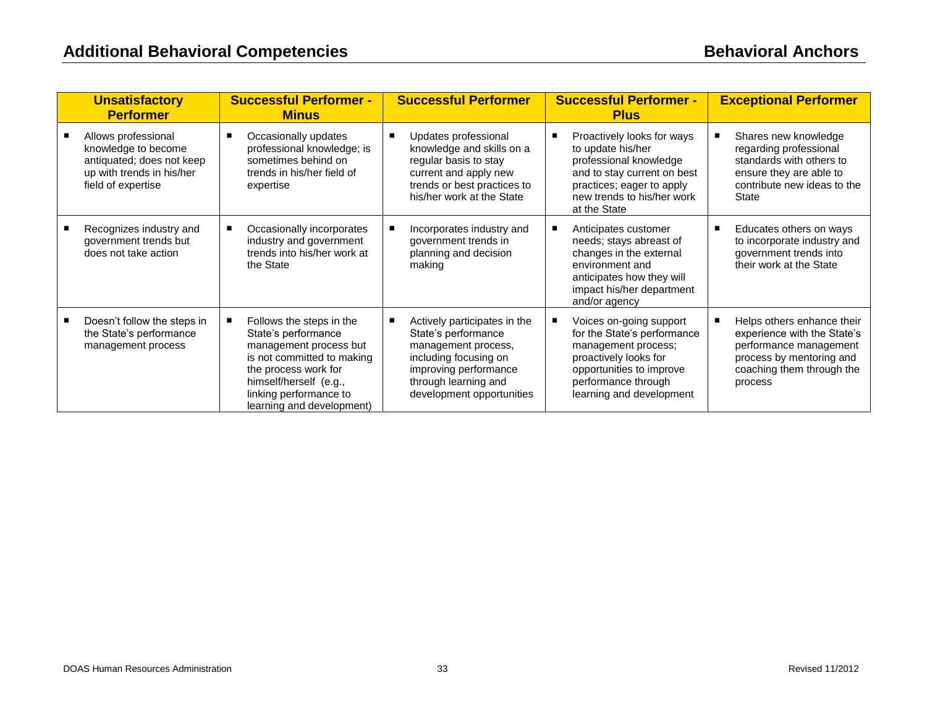| <b>Unsatisfactory</b><br><b>Performer</b>                                                                                  | <b>Successful Performer -</b><br><b>Minus</b>                                                                                                                                                                    | <b>Successful Performer</b>                                                                                                                                                       | <b>Successful Performer -</b><br><b>Plus</b>                                                                                                                                             | <b>Exceptional Performer</b>                                                                                                                            |
|----------------------------------------------------------------------------------------------------------------------------|------------------------------------------------------------------------------------------------------------------------------------------------------------------------------------------------------------------|-----------------------------------------------------------------------------------------------------------------------------------------------------------------------------------|------------------------------------------------------------------------------------------------------------------------------------------------------------------------------------------|---------------------------------------------------------------------------------------------------------------------------------------------------------|
| Allows professional<br>knowledge to become<br>antiquated; does not keep<br>up with trends in his/her<br>field of expertise | Occasionally updates<br>professional knowledge; is<br>sometimes behind on<br>trends in his/her field of<br>expertise                                                                                             | Updates professional<br>knowledge and skills on a<br>regular basis to stay<br>current and apply new<br>trends or best practices to<br>his/her work at the State                   | Proactively looks for ways<br>п<br>to update his/her<br>professional knowledge<br>and to stay current on best<br>practices; eager to apply<br>new trends to his/her work<br>at the State | Shares new knowledge<br>regarding professional<br>standards with others to<br>ensure they are able to<br>contribute new ideas to the<br>State           |
| Recognizes industry and<br>government trends but<br>does not take action                                                   | Occasionally incorporates<br>industry and government<br>trends into his/her work at<br>the State                                                                                                                 | Incorporates industry and<br>government trends in<br>planning and decision<br>making                                                                                              | Anticipates customer<br>п<br>needs; stays abreast of<br>changes in the external<br>environment and<br>anticipates how they will<br>impact his/her department<br>and/or agency            | Educates others on ways<br>п<br>to incorporate industry and<br>government trends into<br>their work at the State                                        |
| Doesn't follow the steps in<br>the State's performance<br>management process                                               | Follows the steps in the<br>State's performance<br>management process but<br>is not committed to making<br>the process work for<br>himself/herself (e.g.,<br>linking performance to<br>learning and development) | Actively participates in the<br>State's performance<br>management process,<br>including focusing on<br>improving performance<br>through learning and<br>development opportunities | Voices on-going support<br>for the State's performance<br>management process;<br>proactively looks for<br>opportunities to improve<br>performance through<br>learning and development    | Helps others enhance their<br>experience with the State's<br>performance management<br>process by mentoring and<br>coaching them through the<br>process |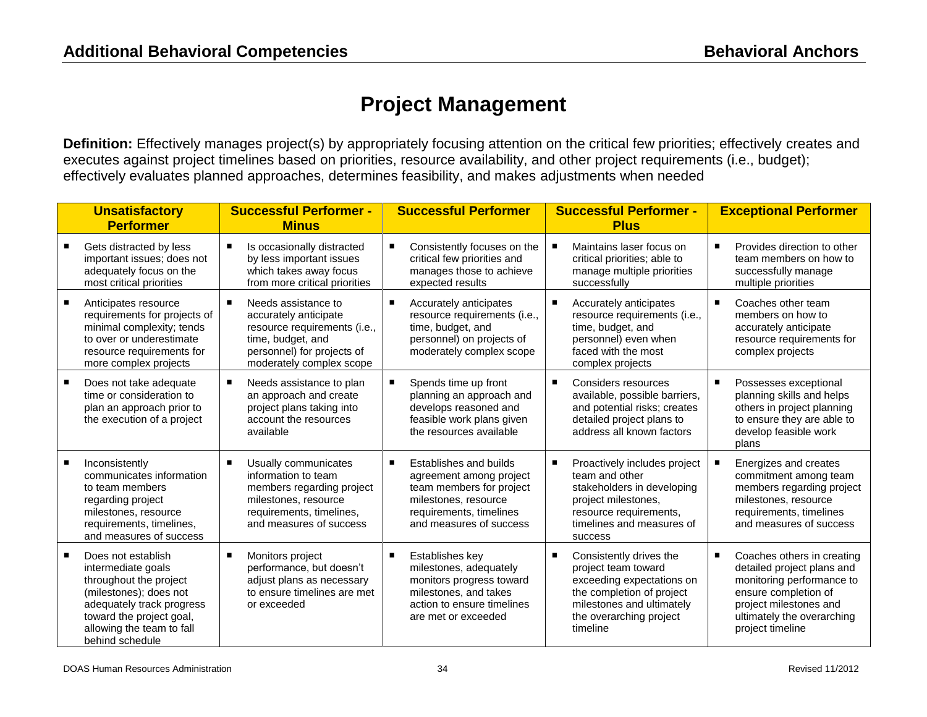## **Project Management**

**Definition:** Effectively manages project(s) by appropriately focusing attention on the critical few priorities; effectively creates and executes against project timelines based on priorities, resource availability, and other project requirements (i.e., budget); effectively evaluates planned approaches, determines feasibility, and makes adjustments when needed

| <b>Unsatisfactory</b><br><b>Performer</b>                                                                                                                                                             | <b>Successful Performer -</b><br><b>Minus</b>                                                                                                                |                | <b>Successful Performer</b>                                                                                                                                 | <b>Successful Performer -</b><br><b>Plus</b>                                                                                                                                 |   | <b>Exceptional Performer</b>                                                                                                                                                              |
|-------------------------------------------------------------------------------------------------------------------------------------------------------------------------------------------------------|--------------------------------------------------------------------------------------------------------------------------------------------------------------|----------------|-------------------------------------------------------------------------------------------------------------------------------------------------------------|------------------------------------------------------------------------------------------------------------------------------------------------------------------------------|---|-------------------------------------------------------------------------------------------------------------------------------------------------------------------------------------------|
| Gets distracted by less<br>important issues; does not<br>adequately focus on the<br>most critical priorities                                                                                          | Is occasionally distracted<br>by less important issues<br>which takes away focus<br>from more critical priorities                                            |                | Consistently focuses on the<br>critical few priorities and<br>manages those to achieve<br>expected results                                                  | Maintains laser focus on<br>critical priorities; able to<br>manage multiple priorities<br>successfully                                                                       | п | Provides direction to other<br>team members on how to<br>successfully manage<br>multiple priorities                                                                                       |
| Anticipates resource<br>requirements for projects of<br>minimal complexity; tends<br>to over or underestimate<br>resource requirements for<br>more complex projects                                   | Needs assistance to<br>accurately anticipate<br>resource requirements (i.e.,<br>time, budget, and<br>personnel) for projects of<br>moderately complex scope  |                | Accurately anticipates<br>resource requirements (i.e.,<br>time, budget, and<br>personnel) on projects of<br>moderately complex scope                        | Accurately anticipates<br>resource requirements (i.e.,<br>time, budget, and<br>personnel) even when<br>faced with the most<br>complex projects                               | п | Coaches other team<br>members on how to<br>accurately anticipate<br>resource requirements for<br>complex projects                                                                         |
| Does not take adequate<br>time or consideration to<br>plan an approach prior to<br>the execution of a project                                                                                         | Needs assistance to plan<br>an approach and create<br>project plans taking into<br>account the resources<br>available                                        | $\blacksquare$ | Spends time up front<br>planning an approach and<br>develops reasoned and<br>feasible work plans given<br>the resources available                           | Considers resources<br>available, possible barriers,<br>and potential risks; creates<br>detailed project plans to<br>address all known factors                               | п | Possesses exceptional<br>planning skills and helps<br>others in project planning<br>to ensure they are able to<br>develop feasible work<br>plans                                          |
| Inconsistently<br>communicates information<br>to team members<br>regarding project<br>milestones, resource<br>requirements, timelines,<br>and measures of success                                     | Usually communicates<br>٠<br>information to team<br>members regarding project<br>milestones, resource<br>requirements, timelines,<br>and measures of success | $\blacksquare$ | Establishes and builds<br>agreement among project<br>team members for project<br>milestones, resource<br>requirements, timelines<br>and measures of success | Proactively includes project<br>team and other<br>stakeholders in developing<br>project milestones,<br>resource requirements,<br>timelines and measures of<br><b>SUCCESS</b> |   | Energizes and creates<br>commitment among team<br>members regarding project<br>milestones, resource<br>requirements, timelines<br>and measures of success                                 |
| Does not establish<br>intermediate goals<br>throughout the project<br>(milestones); does not<br>adequately track progress<br>toward the project goal,<br>allowing the team to fall<br>behind schedule | Monitors project<br>performance, but doesn't<br>adjust plans as necessary<br>to ensure timelines are met<br>or exceeded                                      | п              | Establishes key<br>milestones, adequately<br>monitors progress toward<br>milestones, and takes<br>action to ensure timelines<br>are met or exceeded         | Consistently drives the<br>project team toward<br>exceeding expectations on<br>the completion of project<br>milestones and ultimately<br>the overarching project<br>timeline | п | Coaches others in creating<br>detailed project plans and<br>monitoring performance to<br>ensure completion of<br>project milestones and<br>ultimately the overarching<br>project timeline |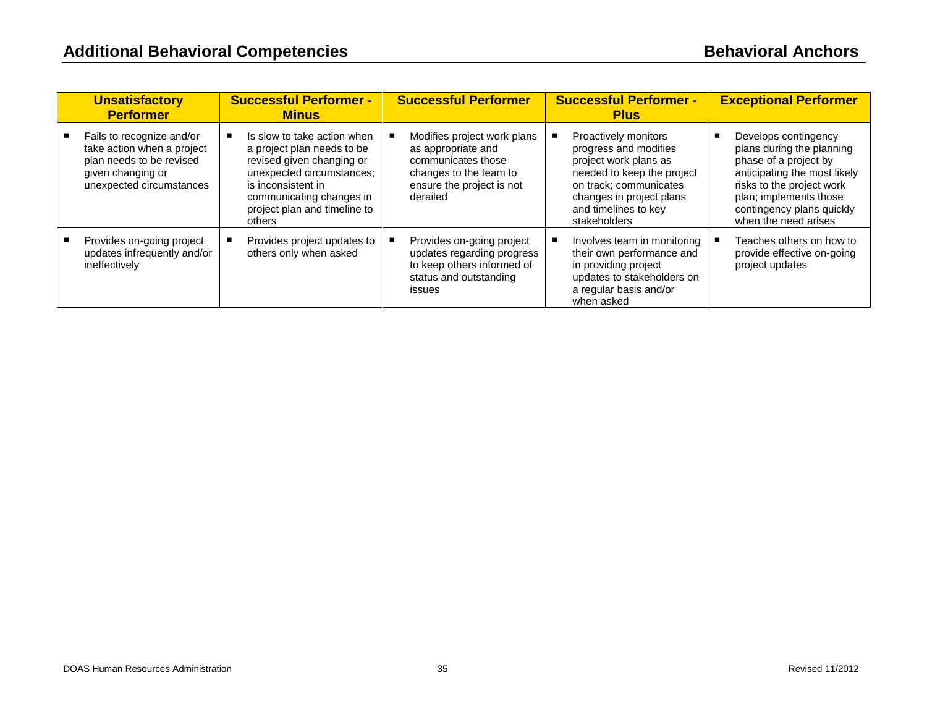| <b>Unsatisfactory</b><br><b>Performer</b>                                                                                            | <b>Successful Performer -</b><br><b>Minus</b>                                                                                                                                                                   | <b>Successful Performer</b>                                                                                                                | <b>Successful Performer -</b><br><b>Plus</b>                                                                                                                                                       | <b>Exceptional Performer</b>                                                                                                                                                                                           |
|--------------------------------------------------------------------------------------------------------------------------------------|-----------------------------------------------------------------------------------------------------------------------------------------------------------------------------------------------------------------|--------------------------------------------------------------------------------------------------------------------------------------------|----------------------------------------------------------------------------------------------------------------------------------------------------------------------------------------------------|------------------------------------------------------------------------------------------------------------------------------------------------------------------------------------------------------------------------|
| Fails to recognize and/or<br>take action when a project<br>plan needs to be revised<br>given changing or<br>unexpected circumstances | Is slow to take action when<br>a project plan needs to be<br>revised given changing or<br>unexpected circumstances;<br>is inconsistent in<br>communicating changes in<br>project plan and timeline to<br>others | Modifies project work plans<br>as appropriate and<br>communicates those<br>changes to the team to<br>ensure the project is not<br>derailed | Proactively monitors<br>progress and modifies<br>project work plans as<br>needed to keep the project<br>on track; communicates<br>changes in project plans<br>and timelines to key<br>stakeholders | Develops contingency<br>plans during the planning<br>phase of a project by<br>anticipating the most likely<br>risks to the project work<br>plan; implements those<br>contingency plans quickly<br>when the need arises |
| Provides on-going project<br>updates infrequently and/or<br>ineffectively                                                            | Provides project updates to<br>others only when asked                                                                                                                                                           | Provides on-going project<br>updates regarding progress<br>to keep others informed of<br>status and outstanding<br><i>issues</i>           | Involves team in monitoring<br>their own performance and<br>in providing project<br>updates to stakeholders on<br>a regular basis and/or<br>when asked                                             | Teaches others on how to<br>provide effective on-going<br>project updates                                                                                                                                              |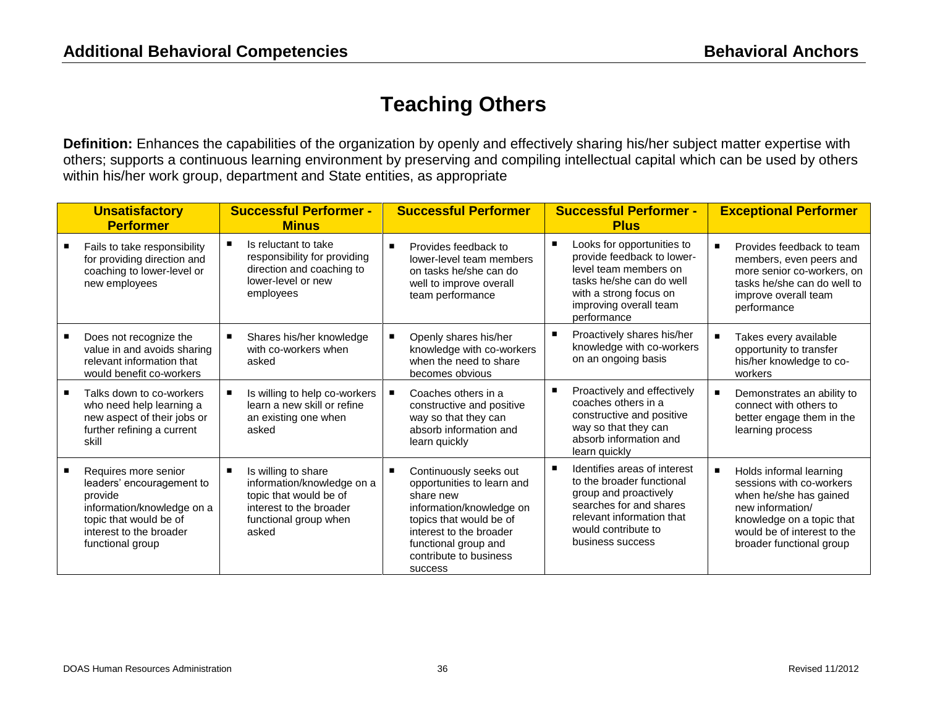## **Teaching Others**

**Definition:** Enhances the capabilities of the organization by openly and effectively sharing his/her subject matter expertise with others; supports a continuous learning environment by preserving and compiling intellectual capital which can be used by others within his/her work group, department and State entities, as appropriate

| <b>Unsatisfactory</b><br><b>Performer</b>                                                                                                                           | <b>Successful Performer -</b><br><b>Minus</b>                                                                                            |                | <b>Successful Performer</b>                                                                                                                                                                                      | <b>Successful Performer -</b><br><b>Plus</b>                                                                                                                                          |   | <b>Exceptional Performer</b>                                                                                                                                                              |
|---------------------------------------------------------------------------------------------------------------------------------------------------------------------|------------------------------------------------------------------------------------------------------------------------------------------|----------------|------------------------------------------------------------------------------------------------------------------------------------------------------------------------------------------------------------------|---------------------------------------------------------------------------------------------------------------------------------------------------------------------------------------|---|-------------------------------------------------------------------------------------------------------------------------------------------------------------------------------------------|
| Fails to take responsibility<br>for providing direction and<br>coaching to lower-level or<br>new employees                                                          | Is reluctant to take<br>responsibility for providing<br>direction and coaching to<br>lower-level or new<br>employees                     | $\blacksquare$ | Provides feedback to<br>lower-level team members<br>on tasks he/she can do<br>well to improve overall<br>team performance                                                                                        | Looks for opportunities to<br>provide feedback to lower-<br>level team members on<br>tasks he/she can do well<br>with a strong focus on<br>improving overall team<br>performance      | п | Provides feedback to team<br>members, even peers and<br>more senior co-workers, on<br>tasks he/she can do well to<br>improve overall team<br>performance                                  |
| Does not recognize the<br>value in and avoids sharing<br>relevant information that<br>would benefit co-workers                                                      | Shares his/her knowledge<br>with co-workers when<br>asked                                                                                |                | Openly shares his/her<br>knowledge with co-workers<br>when the need to share<br>becomes obvious                                                                                                                  | Proactively shares his/her<br>knowledge with co-workers<br>on an ongoing basis                                                                                                        |   | Takes every available<br>opportunity to transfer<br>his/her knowledge to co-<br>workers                                                                                                   |
| Talks down to co-workers<br>who need help learning a<br>new aspect of their jobs or<br>further refining a current<br>skill                                          | Is willing to help co-workers<br>learn a new skill or refine<br>an existing one when<br>asked                                            |                | Coaches others in a<br>constructive and positive<br>way so that they can<br>absorb information and<br>learn quickly                                                                                              | Proactively and effectively<br>coaches others in a<br>constructive and positive<br>way so that they can<br>absorb information and<br>learn quickly                                    |   | Demonstrates an ability to<br>connect with others to<br>better engage them in the<br>learning process                                                                                     |
| Requires more senior<br>leaders' encouragement to<br>provide<br>information/knowledge on a<br>topic that would be of<br>interest to the broader<br>functional group | Is willing to share<br>information/knowledge on a<br>topic that would be of<br>interest to the broader<br>functional group when<br>asked |                | Continuously seeks out<br>opportunities to learn and<br>share new<br>information/knowledge on<br>topics that would be of<br>interest to the broader<br>functional group and<br>contribute to business<br>success | Identifies areas of interest<br>to the broader functional<br>group and proactively<br>searches for and shares<br>relevant information that<br>would contribute to<br>business success | п | Holds informal learning<br>sessions with co-workers<br>when he/she has gained<br>new information/<br>knowledge on a topic that<br>would be of interest to the<br>broader functional group |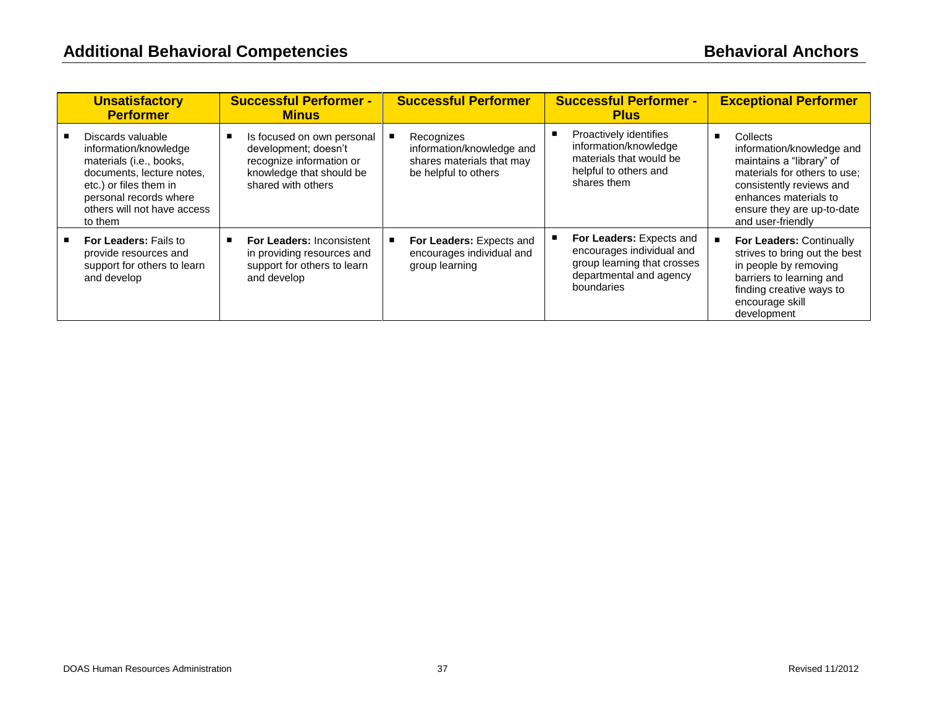| <b>Unsatisfactory</b><br><b>Performer</b>                                                                                                                                                        | <b>Successful Performer -</b><br><b>Minus</b>                                                                                    | <b>Successful Performer</b>                                                                  | <b>Successful Performer -</b><br><b>Plus</b>                                                                                  | <b>Exceptional Performer</b>                                                                                                                                                                              |
|--------------------------------------------------------------------------------------------------------------------------------------------------------------------------------------------------|----------------------------------------------------------------------------------------------------------------------------------|----------------------------------------------------------------------------------------------|-------------------------------------------------------------------------------------------------------------------------------|-----------------------------------------------------------------------------------------------------------------------------------------------------------------------------------------------------------|
| Discards valuable<br>information/knowledge<br>materials (i.e., books,<br>documents, lecture notes,<br>etc.) or files them in<br>personal records where<br>others will not have access<br>to them | Is focused on own personal<br>development; doesn't<br>recognize information or<br>knowledge that should be<br>shared with others | Recognizes<br>information/knowledge and<br>shares materials that may<br>be helpful to others | Proactively identifies<br>information/knowledge<br>materials that would be<br>helpful to others and<br>shares them            | Collects<br>information/knowledge and<br>maintains a "library" of<br>materials for others to use;<br>consistently reviews and<br>enhances materials to<br>ensure they are up-to-date<br>and user-friendly |
| <b>For Leaders: Fails to</b><br>provide resources and<br>support for others to learn<br>and develop                                                                                              | <b>For Leaders: Inconsistent</b><br>in providing resources and<br>support for others to learn<br>and develop                     | For Leaders: Expects and<br>encourages individual and<br>group learning                      | For Leaders: Expects and<br>encourages individual and<br>group learning that crosses<br>departmental and agency<br>boundaries | For Leaders: Continually<br>strives to bring out the best<br>in people by removing<br>barriers to learning and<br>finding creative ways to<br>encourage skill<br>development                              |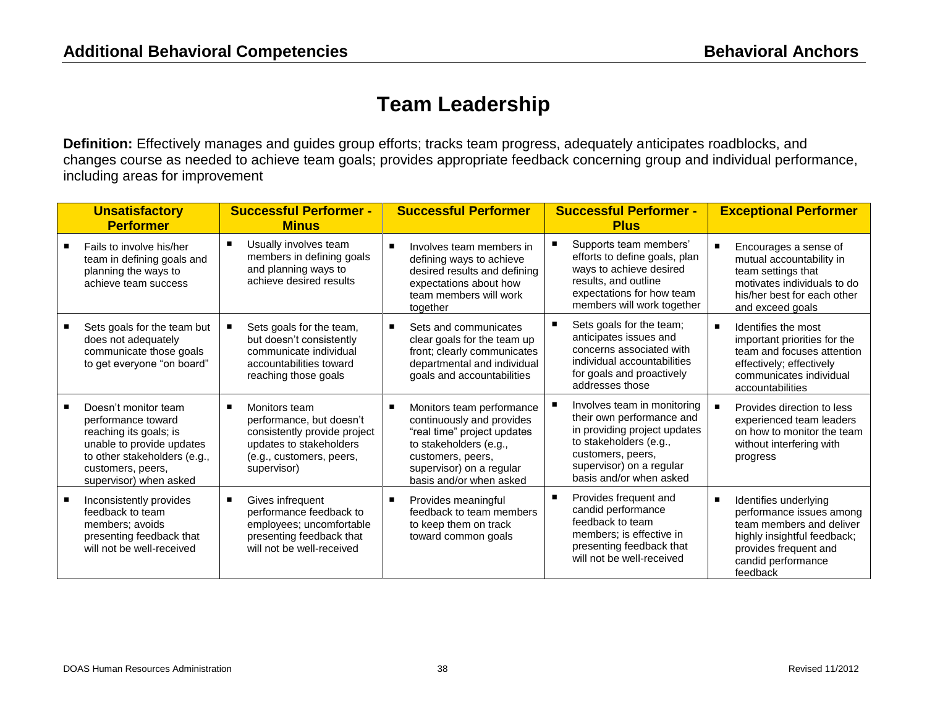#### **Team Leadership**

**Definition:** Effectively manages and guides group efforts; tracks team progress, adequately anticipates roadblocks, and changes course as needed to achieve team goals; provides appropriate feedback concerning group and individual performance, including areas for improvement

| <b>Unsatisfactory</b><br><b>Performer</b>                                                                                                                                        | <b>Successful Performer -</b><br><b>Minus</b>                                                                                                   |                | <b>Successful Performer</b>                                                                                                                                                                 | <b>Successful Performer -</b><br><b>Plus</b>                                                                                                                                                   |                | <b>Exceptional Performer</b>                                                                                                                                            |
|----------------------------------------------------------------------------------------------------------------------------------------------------------------------------------|-------------------------------------------------------------------------------------------------------------------------------------------------|----------------|---------------------------------------------------------------------------------------------------------------------------------------------------------------------------------------------|------------------------------------------------------------------------------------------------------------------------------------------------------------------------------------------------|----------------|-------------------------------------------------------------------------------------------------------------------------------------------------------------------------|
| Fails to involve his/her<br>team in defining goals and<br>planning the ways to<br>achieve team success                                                                           | Usually involves team<br>members in defining goals<br>and planning ways to<br>achieve desired results                                           | $\blacksquare$ | Involves team members in<br>defining ways to achieve<br>desired results and defining<br>expectations about how<br>team members will work<br>together                                        | Supports team members'<br>efforts to define goals, plan<br>ways to achieve desired<br>results, and outline<br>expectations for how team<br>members will work together                          | $\blacksquare$ | Encourages a sense of<br>mutual accountability in<br>team settings that<br>motivates individuals to do<br>his/her best for each other<br>and exceed goals               |
| Sets goals for the team but<br>does not adequately<br>communicate those goals<br>to get everyone "on board"                                                                      | Sets goals for the team,<br>but doesn't consistently<br>communicate individual<br>accountabilities toward<br>reaching those goals               |                | Sets and communicates<br>clear goals for the team up<br>front; clearly communicates<br>departmental and individual<br>goals and accountabilities                                            | Sets goals for the team;<br>anticipates issues and<br>concerns associated with<br>individual accountabilities<br>for goals and proactively<br>addresses those                                  | $\blacksquare$ | Identifies the most<br>important priorities for the<br>team and focuses attention<br>effectively; effectively<br>communicates individual<br>accountabilities            |
| Doesn't monitor team<br>performance toward<br>reaching its goals; is<br>unable to provide updates<br>to other stakeholders (e.g.,<br>customers, peers,<br>supervisor) when asked | Monitors team<br>performance, but doesn't<br>consistently provide project<br>updates to stakeholders<br>(e.g., customers, peers,<br>supervisor) | п              | Monitors team performance<br>continuously and provides<br>"real time" project updates<br>to stakeholders (e.g.,<br>customers, peers,<br>supervisor) on a regular<br>basis and/or when asked | Involves team in monitoring<br>their own performance and<br>in providing project updates<br>to stakeholders (e.g.,<br>customers, peers,<br>supervisor) on a regular<br>basis and/or when asked | $\blacksquare$ | Provides direction to less<br>experienced team leaders<br>on how to monitor the team<br>without interfering with<br>progress                                            |
| Inconsistently provides<br>feedback to team<br>members; avoids<br>presenting feedback that<br>will not be well-received                                                          | Gives infrequent<br>performance feedback to<br>employees; uncomfortable<br>presenting feedback that<br>will not be well-received                | ٠              | Provides meaningful<br>feedback to team members<br>to keep them on track<br>toward common goals                                                                                             | Provides frequent and<br>candid performance<br>feedback to team<br>members; is effective in<br>presenting feedback that<br>will not be well-received                                           | $\blacksquare$ | Identifies underlying<br>performance issues among<br>team members and deliver<br>highly insightful feedback;<br>provides frequent and<br>candid performance<br>feedback |